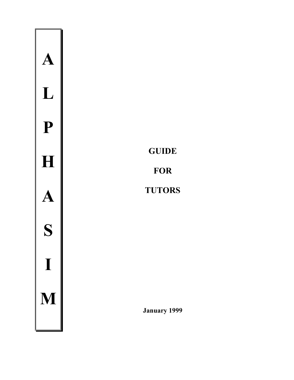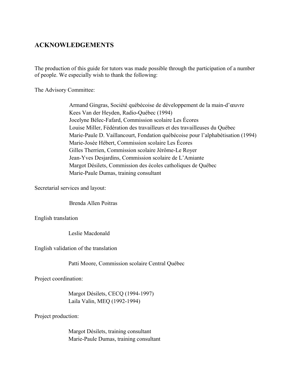#### **ACKNOWLEDGEMENTS**

The production of this guide for tutors was made possible through the participation of a number of people. We especially wish to thank the following:

The Advisory Committee:

Armand Gingras, Société québécoise de développement de la main-d'œuvre Kees Van der Heyden, Radio-Québec (1994) Jocelyne Bélec-Fafard, Commission scolaire Les Écores Louise Miller, Fédération des travailleurs et des travailleuses du Québec Marie-Paule D. Vaillancourt, Fondation québécoise pour l'alphabétisation (1994) Marie-Josée Hébert, Commission scolaire Les Écores Gilles Therrien, Commission scolaire Jérôme-Le Royer Jean-Yves Desjardins, Commission scolaire de L'Amiante Margot Désilets, Commission des écoles catholiques de Québec Marie-Paule Dumas, training consultant

Secretarial services and layout:

Brenda Allen Poitras

English translation

Leslie Macdonald

English validation of the translation

Patti Moore, Commission scolaire Central Québec

Project coordination:

Margot Désilets, CECO (1994-1997) Laila Valin, MEQ (1992-1994)

Project production:

Margot Désilets, training consultant Marie-Paule Dumas, training consultant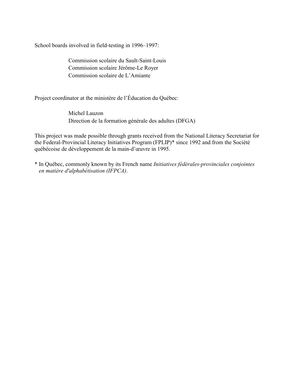School boards involved in field-testing in 1996–1997:

Commission scolaire du Sault-Saint-Louis Commission scolaire Jérôme-Le Royer Commission scolaire de L'Amiante

Project coordinator at the ministère de l'Éducation du Québec:

Michel Lauzon Direction de la formation générale des adultes (DFGA)

This project was made possible through grants received from the National Literacy Secretariat for the Federal-Provincial Literacy Initiatives Program (FPLIP)\* since 1992 and from the Société québécoise de développement de la main-d'œuvre in 1995.

\* In QuÈbec, commonly known by its French name *Initiatives fÈdÈrales-provinciales conjointes en matiËre d'alphabÈtisation (IFPCA)*.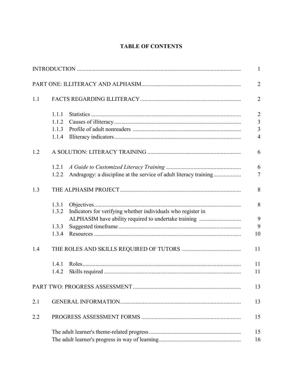## **TABLE OF CONTENTS**

|     |       |                                                                   | $\mathbf{1}$   |
|-----|-------|-------------------------------------------------------------------|----------------|
|     |       |                                                                   | $\overline{2}$ |
| 1.1 |       |                                                                   | $\overline{2}$ |
|     | 1.1.1 |                                                                   | $\overline{2}$ |
|     | 1.1.2 |                                                                   | $\overline{3}$ |
|     | 1.1.3 |                                                                   | $\overline{3}$ |
|     | 1.1.4 |                                                                   | $\overline{4}$ |
| 1.2 |       |                                                                   | 6              |
|     | 1.2.1 |                                                                   | 6              |
|     | 1.2.2 | Andragogy: a discipline at the service of adult literacy training | $\overline{7}$ |
| 1.3 |       |                                                                   | 8              |
|     | 1.3.1 |                                                                   | 8              |
|     | 1.3.2 | Indicators for verifying whether individuals who register in      |                |
|     |       | ALPHASIM have ability required to undertake training              | 9              |
|     | 1.3.3 |                                                                   | 9              |
|     | 1.3.4 |                                                                   | 10             |
| 1.4 |       |                                                                   | 11             |
|     | 1.4.1 |                                                                   | 11             |
|     | 1.4.2 |                                                                   | 11             |
|     |       |                                                                   | 13             |
| 2.1 |       |                                                                   | 13             |
| 2.2 |       |                                                                   | 15             |
|     |       |                                                                   | 15             |
|     |       |                                                                   | 16             |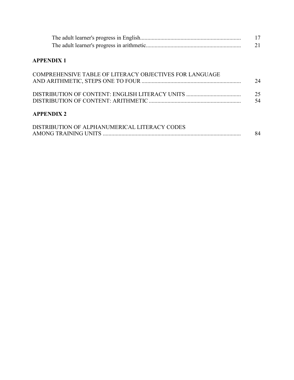|                                                         | 21       |
|---------------------------------------------------------|----------|
| <b>APPENDIX 1</b>                                       |          |
| COMPREHENSIVE TABLE OF LITERACY OBJECTIVES FOR LANGUAGE | 24       |
|                                                         | 25<br>54 |
| <b>APPENDIX 2</b>                                       |          |
| DISTRIBUTION OF ALPHANUMERICAL LITERACY CODES           | 84       |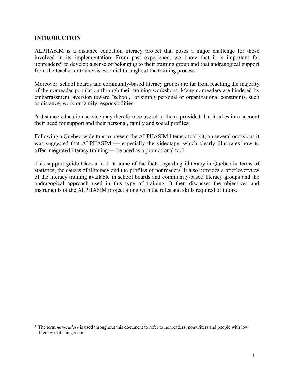#### **INTRODUCTION**

ALPHASIM is a distance education literacy project that poses a major challenge for those involved in its implementation. From past experience, we know that it is important for nonreaders\* to develop a sense of belonging to their training group and that andragogical support from the teacher or trainer is essential throughout the training process.

Moreover, school boards and community-based literacy groups are far from reaching the majority of the nonreader population through their training workshops. Many nonreaders are hindered by embarrassment, aversion toward "school," or simply personal or organizational constraints, such as distance, work or family responsibilities.

A distance education service may therefore be useful to them, provided that it takes into account their need for support and their personal, family and social profiles.

Following a QuÈbec-wide tour to present the ALPHASIM literacy tool kit, on several occasions it was suggested that ALPHASIM — especially the videotape, which clearly illustrates how to offer integrated literacy training — be used as a promotional tool.

This support guide takes a look at some of the facts regarding illiteracy in Québec in terms of statistics, the causes of illiteracy and the profiles of nonreaders. It also provides a brief overview of the literacy training available in school boards and community-based literacy groups and the andragogical approach used in this type of training. It then discusses the objectives and instruments of the ALPHASIM project along with the roles and skills required of tutors.

<sup>\*</sup> The term *nonreaders* is used throughout this document to refer to nonreaders, nonwriters and people with low literacy skills in general.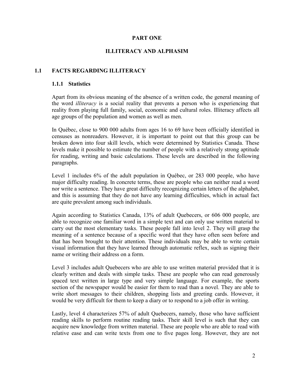#### **PART ONE**

#### **ILLITERACY AND ALPHASIM**

#### **1.1 FACTS REGARDING ILLITERACY**

#### **1.1.1 Statistics**

Apart from its obvious meaning of the absence of a written code, the general meaning of the word *illiteracy* is a social reality that prevents a person who is experiencing that reality from playing full family, social, economic and cultural roles. Illiteracy affects all age groups of the population and women as well as men.

In QuÈbec, close to 900 000 adults from ages 16 to 69 have been officially identified in censuses as nonreaders. However, it is important to point out that this group can be broken down into four skill levels, which were determined by Statistics Canada. These levels make it possible to estimate the number of people with a relatively strong aptitude for reading, writing and basic calculations. These levels are described in the following paragraphs.

Level 1 includes 6% of the adult population in Ouébec, or 283 000 people, who have major difficulty reading. In concrete terms, these are people who can neither read a word nor write a sentence. They have great difficulty recognizing certain letters of the alphabet, and this is assuming that they do not have any learning difficulties, which in actual fact are quite prevalent among such individuals.

Again according to Statistics Canada, 13% of adult Quebecers, or 606 000 people, are able to recognize one familiar word in a simple text and can only use written material to carry out the most elementary tasks. These people fall into level 2. They will grasp the meaning of a sentence because of a specific word that they have often seen before and that has been brought to their attention. These individuals may be able to write certain visual information that they have learned through automatic reflex, such as signing their name or writing their address on a form.

Level 3 includes adult Quebecers who are able to use written material provided that it is clearly written and deals with simple tasks. These are people who can read generously spaced text written in large type and very simple language. For example, the sports section of the newspaper would be easier for them to read than a novel. They are able to write short messages to their children, shopping lists and greeting cards. However, it would be very difficult for them to keep a diary or to respond to a job offer in writing.

Lastly, level 4 characterizes 57% of adult Quebecers, namely, those who have sufficient reading skills to perform routine reading tasks. Their skill level is such that they can acquire new knowledge from written material. These are people who are able to read with relative ease and can write texts from one to five pages long. However, they are not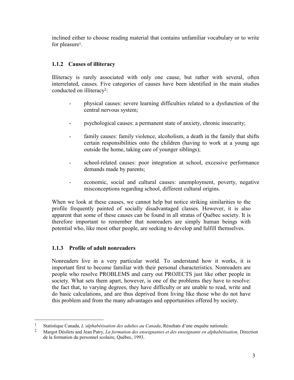inclined either to choose reading material that contains unfamiliar vocabulary or to write for pleasure<sup>1</sup>.

#### **1.1.2 Causes of illiteracy**

Illiteracy is rarely associated with only one cause, but rather with several, often interrelated, causes. Five categories of causes have been identified in the main studies conducted on illiteracy2:

- physical causes: severe learning difficulties related to a dysfunction of the central nervous system;
- psychological causes: a permanent state of anxiety, chronic insecurity;
- family causes: family violence, alcoholism, a death in the family that shifts certain responsibilities onto the children (having to work at a young age outside the home, taking care of younger siblings);
- school-related causes: poor integration at school, excessive performance demands made by parents;
- economic, social and cultural causes: unemployment, poverty, negative misconceptions regarding school, different cultural origins.

When we look at these causes, we cannot help but notice striking similarities to the profile frequently painted of socially disadvantaged classes. However, it is also apparent that some of these causes can be found in all stratas of Québec society. It is therefore important to remember that nonreaders are simply human beings with potential who, like most other people, are seeking to develop and fulfill themselves.

#### **1.1.3 Profile of adult nonreaders**

 $\overline{a}$ 

Nonreaders live in a very particular world. To understand how it works, it is important first to become familiar with their personal characteristics. Nonreaders are people who resolve PROBLEMS and carry out PROJECTS just like other people in society. What sets them apart, however, is one of the problems they have to resolve: the fact that, to varying degrees, they have difficulty or are unable to read, write and do basic calculations, and are thus deprived from living like those who do not have this problem and from the many advantages and opportunities offered by society.

<sup>&</sup>lt;sup>1</sup> Statistique Canada, *L'alphabétisation des adultes au Canada*, Résultats d'une enquête nationale.

<sup>&</sup>lt;sup>2</sup> Margot Désilets and Jean Patry, *La formation des enseignantes et des enseignants en alphabétisation*, Direction de la formation du personnel scolaire, Québec, 1993.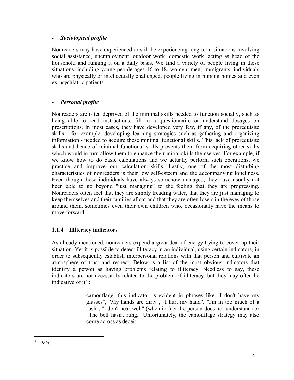#### *- Sociological profile*

Nonreaders may have experienced or still be experiencing long-term situations involving social assistance, unemployment, outdoor work, domestic work, acting as head of the household and running it on a daily basis. We find a variety of people living in these situations, including young people ages 16 to 18, women, men, immigrants, individuals who are physically or intellectually challenged, people living in nursing homes and even ex-psychiatric patients.

#### *- Personal profile*

Nonreaders are often deprived of the minimal skills needed to function socially, such as being able to read instructions, fill in a questionnaire or understand dosages on prescriptions. In most cases, they have developed very few, if any, of the prerequisite skills - for example, developing learning strategies such as gathering and organizing information - needed to acquire these minimal functional skills. This lack of prerequisite skills and hence of minimal functional skills prevents them from acquiring other skills which would in turn allow them to enhance their initial skills themselves. For example, if we know how to do basic calculations and we actually perform such operations, we practice and improve our calculation skills. Lastly, one of the most disturbing characteristics of nonreaders is their low self-esteem and the accompanying loneliness. Even though these individuals have always somehow managed, they have usually not been able to go beyond "just managing" to the feeling that they are progressing. Nonreaders often feel that they are simply treading water, that they are just managing to keep themselves and their families afloat and that they are often losers in the eyes of those around them, sometimes even their own children who, occasionally have the means to move forward.

#### **1.1.4 Illiteracy indicators**

As already mentioned, nonreaders expend a great deal of energy trying to cover up their situation. Yet it is possible to detect illiteracy in an individual, using certain indicators, in order to subsequently establish interpersonal relations with that person and cultivate an atmosphere of trust and respect. Below is a list of the most obvious indicators that identify a person as having problems relating to illiteracy. Needless to say, these indicators are not necessarily related to the problem of illiteracy, but they may often be indicative of it<sup>3</sup>:

- camouflage: this indicator is evident in phrases like "I don't have my glasses", "My hands are dirty", "I hurt my hand", "I'm in too much of a rush", "I don't hear well" (when in fact the person does not understand) or "The bell hasn't rung." Unfortunately, the camouflage strategy may also come across as deceit.

 $\overline{a}$ 

<sup>3</sup> *Ibid*.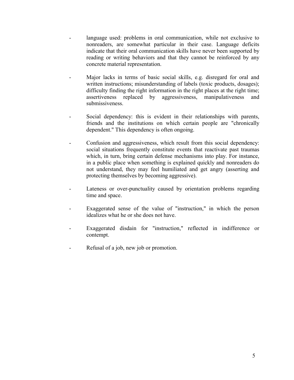- language used: problems in oral communication, while not exclusive to nonreaders, are somewhat particular in their case. Language deficits indicate that their oral communication skills have never been supported by reading or writing behaviors and that they cannot be reinforced by any concrete material representation.
- Major lacks in terms of basic social skills, e.g. disregard for oral and written instructions; misunderstanding of labels (toxic products, dosages); difficulty finding the right information in the right places at the right time; assertiveness replaced by aggressiveness, manipulativeness and submissiveness.
- Social dependency: this is evident in their relationships with parents, friends and the institutions on which certain people are "chronically dependent." This dependency is often ongoing.
- Confusion and aggressiveness, which result from this social dependency: social situations frequently constitute events that reactivate past traumas which, in turn, bring certain defense mechanisms into play. For instance, in a public place when something is explained quickly and nonreaders do not understand, they may feel humiliated and get angry (asserting and protecting themselves by becoming aggressive).
- Lateness or over-punctuality caused by orientation problems regarding time and space.
- Exaggerated sense of the value of "instruction," in which the person idealizes what he or she does not have.
- Exaggerated disdain for "instruction," reflected in indifference or contempt.
- Refusal of a job, new job or promotion.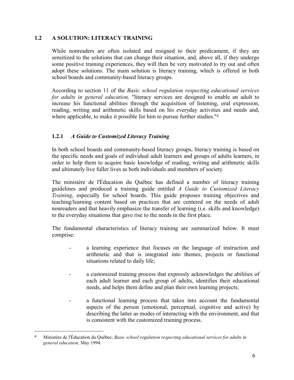#### **1.2 A SOLUTION: LITERACY TRAINING**

While nonreaders are often isolated and resigned to their predicament, if they are sensitized to the solutions that can change their situation, and, above all, if they undergo some positive training experiences, they will then be very motivated to try out and often adopt these solutions. The main solution is literacy training, which is offered in both school boards and community-based literacy groups.

According to section 11 of the *Basic school regulation respecting educational services for adults in general education,* "literacy services are designed to enable an adult to increase his functional abilities through the acquisition of listening, oral expression, reading, writing and arithmetic skills based on his everyday activities and needs and, where applicable, to make it possible for him to pursue further studies."<sup>4</sup>

#### **1.2.1** *A Guide to Customized Literacy Training*

In both school boards and community-based literacy groups, literacy training is based on the specific needs and goals of individual adult learners and groups of adults learners, in order to help them to acquire basic knowledge of reading, writing and arithmetic skills and ultimately live fuller lives as both individuals and members of society.

The ministère de l'Éducation du Québec has defined a number of literacy training guidelines and produced a training guide entitled *A Guide to Customized Literacy Training*, especially for school boards. This guide proposes training objectives and teaching/learning content based on practices that are centered on the needs of adult nonreaders and that heavily emphasize the transfer of learning (i.e. skills and knowledge) to the everyday situations that gave rise to the needs in the first place.

The fundamental characteristics of literacy training are summarized below. It must comprise:

- a learning experience that focuses on the language of instruction and arithmetic and that is integrated into themes, projects or functional situations related to daily life;
- a customized training process that expressly acknowledges the abilities of each adult learner and each group of adults, identifies their educational needs, and helps them define and plan their own learning projects;
- a functional learning process that takes into account the fundamental aspects of the person (emotional, perceptual, cognitive and active) by describing the latter as modes of interacting with the environment, and that is consistent with the customized training process.

 $\overline{a}$ 

<sup>&</sup>lt;sup>4</sup> Ministère de l'Éducation du Québec, *Basic school regulation respecting educational services for adults in general education,* May 1994.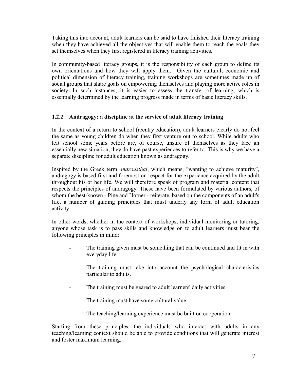Taking this into account, adult learners can be said to have finished their literacy training when they have achieved all the objectives that will enable them to reach the goals they set themselves when they first registered in literacy training activities.

In community-based literacy groups, it is the responsibility of each group to define its own orientations and how they will apply them. Given the cultural, economic and political dimension of literacy training, training workshops are sometimes made up of social groups that share goals on empowering themselves and playing more active roles in society. In such instances, it is easier to assess the transfer of learning, which is essentially determined by the learning progress made in terms of basic literacy skills.

#### **1.2.2 Andragogy: a discipline at the service of adult literacy training**

In the context of a return to school (reentry education), adult learners clearly do not feel the same as young children do when they first venture out to school. While adults who left school some years before are, of course, unsure of themselves as they face an essentially new situation, they do have past experiences to refer to. This is why we have a separate discipline for adult education known as andragogy.

Inspired by the Greek term *androusthai*, which means, "wanting to achieve maturity", andragogy is based first and foremost on respect for the experience acquired by the adult throughout his or her life. We will therefore speak of program and material content that respects the principles of andragogy. These have been formulated by various authors, of whom the best-known - Pine and Horner - reiterate, based on the components of an adult's life, a number of guiding principles that must underly any form of adult education activity.

In other words, whether in the context of workshops, individual monitoring or tutoring, anyone whose task is to pass skills and knowledge on to adult learners must bear the following principles in mind:

- The training given must be something that can be continued and fit in with everyday life.
- The training must take into account the psychological characteristics particular to adults.
- The training must be geared to adult learners' daily activities.
- The training must have some cultural value.
- The teaching/learning experience must be built on cooperation.

Starting from these principles, the individuals who interact with adults in any teaching/learning context should be able to provide conditions that will generate interest and foster maximum learning.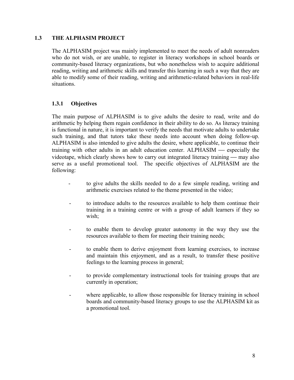#### **1.3 THE ALPHASIM PROJECT**

The ALPHASIM project was mainly implemented to meet the needs of adult nonreaders who do not wish, or are unable, to register in literacy workshops in school boards or community-based literacy organizations, but who nonetheless wish to acquire additional reading, writing and arithmetic skills and transfer this learning in such a way that they are able to modify some of their reading, writing and arithmetic-related behaviors in real-life situations.

#### **1.3.1 Objectives**

The main purpose of ALPHASIM is to give adults the desire to read, write and do arithmetic by helping them regain confidence in their ability to do so. As literacy training is functional in nature, it is important to verify the needs that motivate adults to undertake such training, and that tutors take these needs into account when doing follow-up. ALPHASIM is also intended to give adults the desire, where applicable, to continue their training with other adults in an adult education center. ALPHASIM — especially the videotape, which clearly shows how to carry out integrated literacy training — may also serve as a useful promotional tool. The specific objectives of ALPHASIM are the following:

- to give adults the skills needed to do a few simple reading, writing and arithmetic exercises related to the theme presented in the video;
- to introduce adults to the resources available to help them continue their training in a training centre or with a group of adult learners if they so wish;
- to enable them to develop greater autonomy in the way they use the resources available to them for meeting their training needs;
- to enable them to derive enjoyment from learning exercises, to increase and maintain this enjoyment, and as a result, to transfer these positive feelings to the learning process in general;
- to provide complementary instructional tools for training groups that are currently in operation;
- where applicable, to allow those responsible for literacy training in school boards and community-based literacy groups to use the ALPHASIM kit as a promotional tool.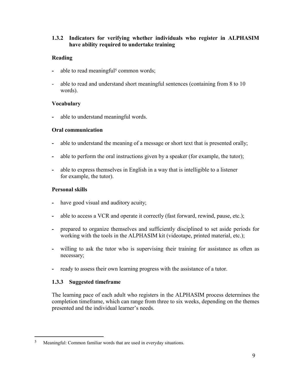#### **1.3.2 Indicators for verifying whether individuals who register in ALPHASIM have ability required to undertake training**

#### **Reading**

- able to read meaningful<sup>5</sup> common words;
- able to read and understand short meaningful sentences (containing from 8 to 10) words).

#### **Vocabulary**

**-** able to understand meaningful words.

#### **Oral communication**

- **-** able to understand the meaning of a message or short text that is presented orally;
- **-** able to perform the oral instructions given by a speaker (for example, the tutor);
- **-** able to express themselves in English in a way that is intelligible to a listener for example, the tutor).

#### **Personal skills**

- **-** have good visual and auditory acuity;
- **-** able to access a VCR and operate it correctly (fast forward, rewind, pause, etc.);
- **-** prepared to organize themselves and sufficiently disciplined to set aside periods for working with the tools in the ALPHASIM kit (videotape, printed material, etc.);
- **-** willing to ask the tutor who is supervising their training for assistance as often as necessary;
- **-** ready to assess their own learning progress with the assistance of a tutor.

#### **1.3.3 Suggested timeframe**

 $\overline{a}$ 

The learning pace of each adult who registers in the ALPHASIM process determines the completion timeframe, which can range from three to six weeks, depending on the themes presented and the individual learner's needs.

<sup>5</sup> Meaningful: Common familiar words that are used in everyday situations.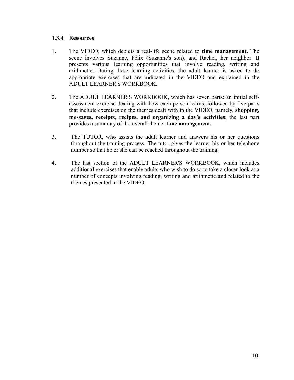#### **1.3.4 Resources**

- 1. The VIDEO, which depicts a real-life scene related to **time management.** The scene involves Suzanne, Félix (Suzanne's son), and Rachel, her neighbor. It presents various learning opportunities that involve reading, writing and arithmetic. During these learning activities, the adult learner is asked to do appropriate exercises that are indicated in the VIDEO and explained in the ADULT LEARNER'S WORKBOOK.
- 2. The ADULT LEARNER'S WORKBOOK, which has seven parts: an initial selfassessment exercise dealing with how each person learns, followed by five parts that include exercises on the themes dealt with in the VIDEO, namely, **shopping, messages, receipts, recipes, and organizing a day's activities**; the last part provides a summary of the overall theme: **time management.**
- 3. The TUTOR, who assists the adult learner and answers his or her questions throughout the training process. The tutor gives the learner his or her telephone number so that he or she can be reached throughout the training.
- 4. The last section of the ADULT LEARNER'S WORKBOOK, which includes additional exercises that enable adults who wish to do so to take a closer look at a number of concepts involving reading, writing and arithmetic and related to the themes presented in the VIDEO.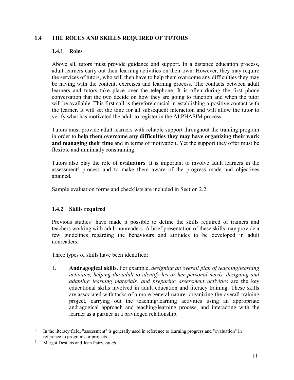#### **1.4 THE ROLES AND SKILLS REQUIRED OF TUTORS**

#### **1.4.1 Roles**

Above all, tutors must provide guidance and support. In a distance education process, adult learners carry out their learning activities on their own. However, they may require the services of tutors, who will then have to help them overcome any difficulties they may be having with the content, exercises and learning process. The contacts between adult learners and tutors take place over the telephone. It is often during the first phone conversation that the two decide on how they are going to function and when the tutor will be available. This first call is therefore crucial in establishing a positive contact with the learner. It will set the tone for all subsequent interaction and will allow the tutor to verify what has motivated the adult to register in the ALPHASIM process.

Tutors must provide adult learners with reliable support throughout the training program in order to **help them overcome any difficulties they may have organizing their work and managing their time** and in terms of motivation**.** Yet the support they offer must be flexible and minimally constraining.

Tutors also play the role of **evaluators**. It is important to involve adult learners in the assessment6 process and to make them aware of the progress made and objectives attained.

Sample evaluation forms and checklists are included in Section 2.2.

#### **1.4.2 Skills required**

Previous studies7 have made it possible to define the skills required of trainers and teachers working with adult nonreaders. A brief presentation of these skills may provide a few guidelines regarding the behaviours and attitudes to be developed in adult nonreaders.

Three types of skills have been identified:

1. **Andragogical skills.** For example, *designing an overall plan of teaching/learning activities, helping the adult to identify his or her personal needs, designing and adapting learning materials, and preparing assessment activities* are the key educational skills involved in adult education and literacy training. These skills are associated with tasks of a more general nature: organizing the overall training project, carrying out the teaching/learning activities using an appropriate andragogical approach and teaching/learning process, and interacting with the learner as a partner in a privileged relationship.

 $\overline{a}$ 

<sup>6</sup> In the literacy field, "assessment" is generally used in reference to learning progress and "evaluation" in reference to programs or projects.

<sup>7</sup> Margot DÈsilets and Jean Patry, *op.cit*.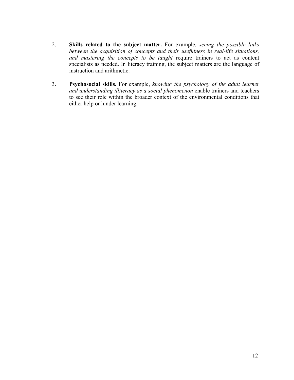- 2. **Skills related to the subject matter.** For example, *seeing the possible links between the acquisition of concepts and their usefulness in real-life situations, and mastering the concepts to be taught* require trainers to act as content specialists as needed. In literacy training, the subject matters are the language of instruction and arithmetic.
- 3. **Psychosocial skills.** For example, *knowing the psychology of the adult learner and understanding illiteracy as a social phenomenon* enable trainers and teachers to see their role within the broader context of the environmental conditions that either help or hinder learning.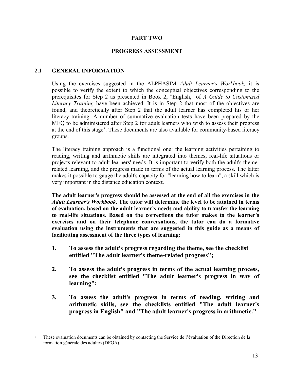#### **PART TWO**

#### **PROGRESS ASSESSMENT**

#### **2.1 GENERAL INFORMATION**

 $\overline{a}$ 

Using the exercises suggested in the ALPHASIM *Adult Learner's Workbook,* it is possible to verify the extent to which the conceptual objectives corresponding to the prerequisites for Step 2 as presented in Book 2, "English," of *A Guide to Customized Literacy Training* have been achieved. It is in Step 2 that most of the objectives are found, and theoretically after Step 2 that the adult learner has completed his or her literacy training. A number of summative evaluation tests have been prepared by the MEQ to be administered after Step 2 for adult learners who wish to assess their progress at the end of this stage8. These documents are also available for community-based literacy groups.

The literacy training approach is a functional one: the learning activities pertaining to reading, writing and arithmetic skills are integrated into themes, real-life situations or projects relevant to adult learners' needs. It is important to verify both the adult's themerelated learning, and the progress made in terms of the actual learning process. The latter makes it possible to gauge the adult's capacity for "learning how to learn", a skill which is very important in the distance education context.

**The adult learner's progress should be assessed at the end of all the exercises in the** *Adult Learner's Workbook***. The tutor will determine the level to be attained in terms** of evaluation, based on the adult learner's needs and ability to transfer the learning **to real-life situations. Based on the corrections the tutor makes to the learner's exercises and on their telephone conversations, the tutor can do a formative evaluation using the instruments that are suggested in this guide as a means of facilitating assessment of the three types of learning:**

- **1. To assess the adult's progress regarding the theme, see the checklist entitled "The adult learner's theme-related progress";**
- **2. To assess the adult's progress in terms of the actual learning process, see the checklist entitled "The adult learner's progress in way of learning";**
- **3. To assess the adult's progress in terms of reading, writing and arithmetic skills, see the checklists entitled "The adult learner's progress in English" and "The adult learner's progress in arithmetic."**

<sup>&</sup>lt;sup>8</sup> These evaluation documents can be obtained by contacting the Service de l'évaluation of the Direction de la formation générale des adultes (DFGA).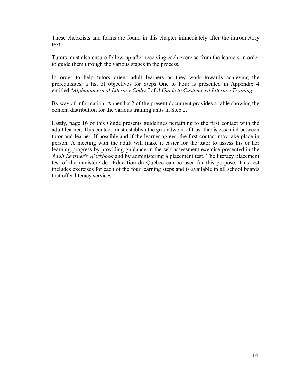These checklists and forms are found in this chapter immediately after the introductory text.

Tutors must also ensure follow-up after receiving each exercise from the learners in order to guide them through the various stages in the process.

In order to help tutors orient adult learners as they work towards achieving the prerequisites, a list of objectives for Steps One to Four is presented in Appendix 4 entitled "Alphanumerical Literacy Codes" of A Guide to Customized Literacy Training.

By way of information, Appendix 2 of the present document provides a table showing the content distribution for the various training units in Step 2.

Lastly, page 16 of this Guide presents guidelines pertaining to the first contact with the adult learner. This contact must establish the groundwork of trust that is essential between tutor and learner. If possible and if the learner agrees, the first contact may take place in person. A meeting with the adult will make it easier for the tutor to assess his or her learning progress by providing guidance in the self-assessment exercise presented in the *Adult Learner's Workbook* and by administering a placement test. The literacy placement test of the ministère de l'Éducation du Québec can be used for this purpose. This test includes exercises for each of the four learning steps and is available in all school boards that offer literacy services.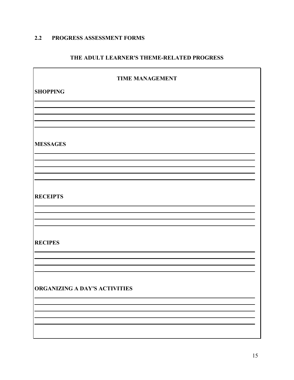#### **2.2 PROGRESS ASSESSMENT FORMS**

#### **THE ADULT LEARNER'S THEME-RELATED PROGRESS**

| <b>TIME MANAGEMENT</b>        |  |  |
|-------------------------------|--|--|
| <b>SHOPPING</b>               |  |  |
|                               |  |  |
|                               |  |  |
|                               |  |  |
| <b>MESSAGES</b>               |  |  |
|                               |  |  |
|                               |  |  |
|                               |  |  |
| <b>RECEIPTS</b>               |  |  |
|                               |  |  |
|                               |  |  |
| <b>RECIPES</b>                |  |  |
|                               |  |  |
|                               |  |  |
|                               |  |  |
| ORGANIZING A DAY'S ACTIVITIES |  |  |
|                               |  |  |
|                               |  |  |
|                               |  |  |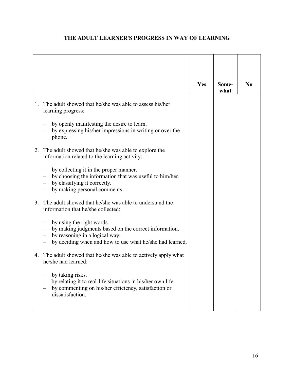|    |                                                                                                                                                                                  | Yes | Some-<br>what | N <sub>0</sub> |
|----|----------------------------------------------------------------------------------------------------------------------------------------------------------------------------------|-----|---------------|----------------|
| 1. | The adult showed that he/she was able to assess his/her<br>learning progress:                                                                                                    |     |               |                |
|    | by openly manifesting the desire to learn.<br>by expressing his/her impressions in writing or over the<br>phone.                                                                 |     |               |                |
| 2. | The adult showed that he/she was able to explore the<br>information related to the learning activity:                                                                            |     |               |                |
|    | by collecting it in the proper manner.<br>by choosing the information that was useful to him/her.<br>by classifying it correctly.<br>by making personal comments.                |     |               |                |
| 3. | The adult showed that he/she was able to understand the<br>information that he/she collected:                                                                                    |     |               |                |
|    | by using the right words.<br>by making judgments based on the correct information.<br>by reasoning in a logical way.<br>by deciding when and how to use what he/she had learned. |     |               |                |
| 4. | The adult showed that he/she was able to actively apply what<br>he/she had learned:                                                                                              |     |               |                |
|    | by taking risks.<br>by relating it to real-life situations in his/her own life.<br>by commenting on his/her efficiency, satisfaction or<br>dissatisfaction.                      |     |               |                |

#### **THE ADULT LEARNER'S PROGRESS IN WAY OF LEARNING**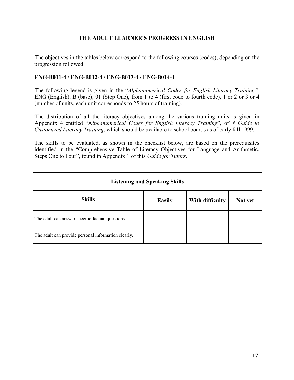#### **THE ADULT LEARNER'S PROGRESS IN ENGLISH**

The objectives in the tables below correspond to the following courses (codes), depending on the progression followed:

#### **ENG-B011-4 / ENG-B012-4 / ENG-B013-4 / ENG-B014-4**

The following legend is given in the *"Alphanumerical Codes for English Literacy Training*": ENG (English), B (base), 01 (Step One), from 1 to 4 (first code to fourth code), 1 or 2 or 3 or 4 (number of units, each unit corresponds to 25 hours of training).

The distribution of all the literacy objectives among the various training units is given in Appendix 4 entitled "Alphanumerical Codes for English Literacy Training", of A Guide to *Customized Literacy Training*, which should be available to school boards as of early fall 1999.

The skills to be evaluated, as shown in the checklist below, are based on the prerequisites identified in the "Comprehensive Table of Literacy Objectives for Language and Arithmetic, Steps One to Four", found in Appendix 1 of this *Guide for Tutors*.

| <b>Listening and Speaking Skills</b>                |               |                 |         |  |
|-----------------------------------------------------|---------------|-----------------|---------|--|
| <b>Skills</b>                                       | <b>Easily</b> | With difficulty | Not yet |  |
| The adult can answer specific factual questions.    |               |                 |         |  |
| The adult can provide personal information clearly. |               |                 |         |  |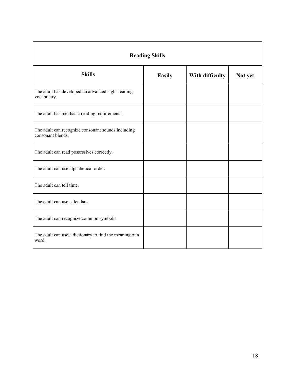| <b>Reading Skills</b>                                                   |               |                 |         |  |  |
|-------------------------------------------------------------------------|---------------|-----------------|---------|--|--|
| <b>Skills</b>                                                           | <b>Easily</b> | With difficulty | Not yet |  |  |
| The adult has developed an advanced sight-reading<br>vocabulary.        |               |                 |         |  |  |
| The adult has met basic reading requirements.                           |               |                 |         |  |  |
| The adult can recognize consonant sounds including<br>consonant blends. |               |                 |         |  |  |
| The adult can read possessives correctly.                               |               |                 |         |  |  |
| The adult can use alphabetical order.                                   |               |                 |         |  |  |
| The adult can tell time.                                                |               |                 |         |  |  |
| The adult can use calendars.                                            |               |                 |         |  |  |
| The adult can recognize common symbols.                                 |               |                 |         |  |  |
| The adult can use a dictionary to find the meaning of a<br>word.        |               |                 |         |  |  |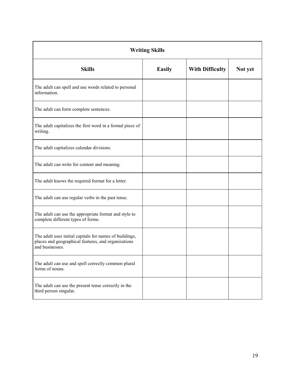| <b>Writing Skills</b>                                                                                                             |               |                        |         |  |  |
|-----------------------------------------------------------------------------------------------------------------------------------|---------------|------------------------|---------|--|--|
| <b>Skills</b>                                                                                                                     | <b>Easily</b> | <b>With Difficulty</b> | Not yet |  |  |
| The adult can spell and use words related to personal<br>information.                                                             |               |                        |         |  |  |
| The adult can form complete sentences.                                                                                            |               |                        |         |  |  |
| The adult capitalizes the first word in a formal piece of<br>writing.                                                             |               |                        |         |  |  |
| The adult capitalizes calendar divisions.                                                                                         |               |                        |         |  |  |
| The adult can write for content and meaning.                                                                                      |               |                        |         |  |  |
| The adult knows the required format for a letter.                                                                                 |               |                        |         |  |  |
| The adult can use regular verbs in the past tense.                                                                                |               |                        |         |  |  |
| The adult can use the appropriate format and style to<br>complete different types of forms.                                       |               |                        |         |  |  |
| The adult uses initial capitals for names of buildings,<br>places and geographical features, and organizations<br>and businesses. |               |                        |         |  |  |
| The adult can use and spell correctly common plural<br>forms of nouns.                                                            |               |                        |         |  |  |
| The adult can use the present tense correctly in the<br>third person singular.                                                    |               |                        |         |  |  |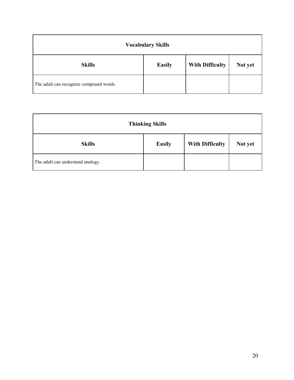| <b>Vocabulary Skills</b>                |               |                        |         |  |
|-----------------------------------------|---------------|------------------------|---------|--|
| <b>Skills</b>                           | <b>Easily</b> | <b>With Difficulty</b> | Not yet |  |
| The adult can recognize compound words. |               |                        |         |  |

| <b>Thinking Skills</b>            |               |                        |         |
|-----------------------------------|---------------|------------------------|---------|
| <b>Skills</b>                     | <b>Easily</b> | <b>With Difficulty</b> | Not yet |
| The adult can understand analogy. |               |                        |         |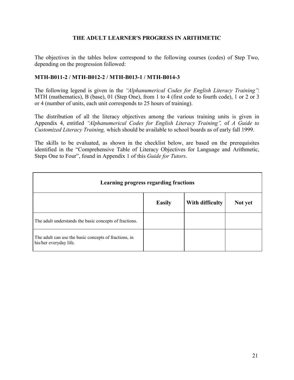#### **THE ADULT LEARNER'S PROGRESS IN ARITHMETIC**

The objectives in the tables below correspond to the following courses (codes) of Step Two, depending on the progression followed:

#### **MTH-B011-2 / MTH-B012-2 / MTH-B013-1 / MTH-B014-3**

The following legend is given in the *''Alphanumerical Codes for English Literacy Training*''. MTH (mathematics), B (base), 01 (Step One), from 1 to 4 (first code to fourth code), 1 or 2 or 3 or 4 (number of units, each unit corresponds to 25 hours of training).

The distribution of all the literacy objectives among the various training units is given in Appendix 4, entitled *ìAlphanumerical Codes for English Literacy Trainingî,* of *A Guide to Customized Literacy Training,* which should be available to school boards as of early fall 1999.

The skills to be evaluated, as shown in the checklist below, are based on the prerequisites identified in the "Comprehensive Table of Literacy Objectives for Language and Arithmetic, Steps One to Four", found in Appendix 1 of this *Guide for Tutors*.

| Learning progress regarding fractions                                           |               |                 |         |  |
|---------------------------------------------------------------------------------|---------------|-----------------|---------|--|
|                                                                                 | <b>Easily</b> | With difficulty | Not yet |  |
| The adult understands the basic concepts of fractions.                          |               |                 |         |  |
| The adult can use the basic concepts of fractions, in<br>his/her everyday life. |               |                 |         |  |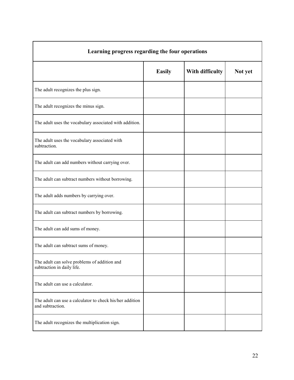| Learning progress regarding the four operations                              |               |                 |         |  |
|------------------------------------------------------------------------------|---------------|-----------------|---------|--|
|                                                                              | <b>Easily</b> | With difficulty | Not yet |  |
| The adult recognizes the plus sign.                                          |               |                 |         |  |
| The adult recognizes the minus sign.                                         |               |                 |         |  |
| The adult uses the vocabulary associated with addition.                      |               |                 |         |  |
| The adult uses the vocabulary associated with<br>subtraction.                |               |                 |         |  |
| The adult can add numbers without carrying over.                             |               |                 |         |  |
| The adult can subtract numbers without borrowing.                            |               |                 |         |  |
| The adult adds numbers by carrying over.                                     |               |                 |         |  |
| The adult can subtract numbers by borrowing.                                 |               |                 |         |  |
| The adult can add sums of money.                                             |               |                 |         |  |
| The adult can subtract sums of money.                                        |               |                 |         |  |
| The adult can solve problems of addition and<br>subtraction in daily life.   |               |                 |         |  |
| The adult can use a calculator.                                              |               |                 |         |  |
| The adult can use a calculator to check his/her addition<br>and subtraction. |               |                 |         |  |
| The adult recognizes the multiplication sign.                                |               |                 |         |  |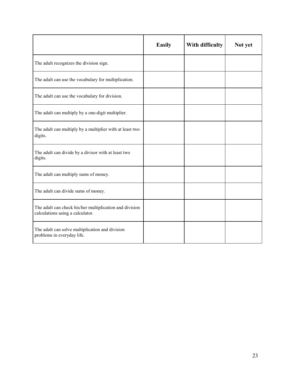|                                                                                             | <b>Easily</b> | With difficulty | Not yet |
|---------------------------------------------------------------------------------------------|---------------|-----------------|---------|
| The adult recognizes the division sign.                                                     |               |                 |         |
| The adult can use the vocabulary for multiplication.                                        |               |                 |         |
| The adult can use the vocabulary for division.                                              |               |                 |         |
| The adult can multiply by a one-digit multiplier.                                           |               |                 |         |
| The adult can multiply by a multiplier with at least two<br>digits.                         |               |                 |         |
| The adult can divide by a divisor with at least two<br>digits.                              |               |                 |         |
| The adult can multiply sums of money.                                                       |               |                 |         |
| The adult can divide sums of money.                                                         |               |                 |         |
| The adult can check his/her multiplication and division<br>calculations using a calculator. |               |                 |         |
| The adult can solve multiplication and division<br>problems in everyday life.               |               |                 |         |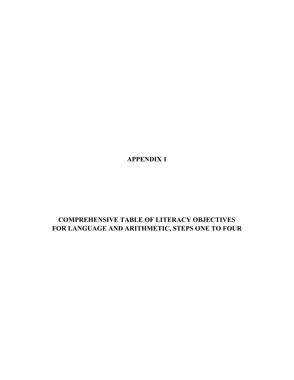**APPENDIX 1**

# **COMPREHENSIVE TABLE OF LITERACY OBJECTIVES FOR LANGUAGE AND ARITHMETIC, STEPS ONE TO FOUR**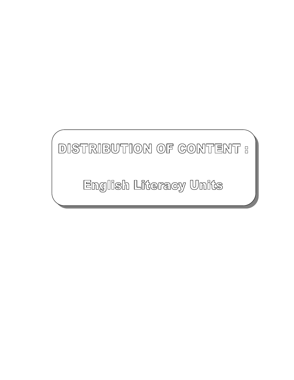# DISTRIBUTION OF CONTENT :

English Literacy Units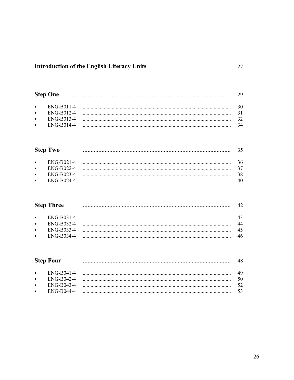| <b>Introduction of the English Literacy Units</b> |  |  |
|---------------------------------------------------|--|--|
|---------------------------------------------------|--|--|

|           | <b>Step One</b> | 29 |
|-----------|-----------------|----|
| $\bullet$ | ENG-B011-4      |    |
| $\bullet$ | ENG-B012-4      |    |
| $\bullet$ | ENG-B013-4      |    |
| $\bullet$ | ENG-B014-4      | 34 |
|           |                 |    |

|           | <b>Step Two</b> |    |
|-----------|-----------------|----|
| $\bullet$ | ENG-B021-4      | 36 |
| $\bullet$ | ENG-B022-4      |    |
| $\bullet$ | ENG-B023-4      | 38 |
| $\bullet$ | ENG-B024-4      | 40 |
|           |                 |    |

|           | <b>Step Three</b> |    |
|-----------|-------------------|----|
| $\bullet$ | ENG-B031-4        |    |
| $\bullet$ | ENG-B032-4        | 44 |
| $\bullet$ | ENG-B033-4        | 45 |
| $\bullet$ | ENG-B034-4        | 46 |
|           |                   |    |

|           | <b>Step Four</b>  |    |
|-----------|-------------------|----|
| $\bullet$ | ENG-B041-4        |    |
| $\bullet$ | ENG-B042-4        | 50 |
| $\bullet$ | ENG-B043-4        |    |
| $\bullet$ | <b>ENG-B044-4</b> |    |
|           |                   |    |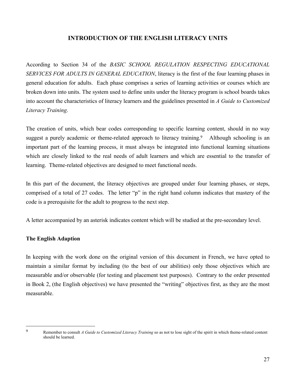#### **INTRODUCTION OF THE ENGLISH LITERACY UNITS**

According to Section 34 of the *BASIC SCHOOL REGULATION RESPECTING EDUCATIONAL SERVICES FOR ADULTS IN GENERAL EDUCATION*, literacy is the first of the four learning phases in general education for adults. Each phase comprises a series of learning activities or courses which are broken down into units. The system used to define units under the literacy program is school boards takes into account the characteristics of literacy learners and the guidelines presented in *A Guide to Customized Literacy Training*.

The creation of units, which bear codes corresponding to specific learning content, should in no way suggest a purely academic or theme-related approach to literacy training.<sup>9</sup> Although schooling is an important part of the learning process, it must always be integrated into functional learning situations which are closely linked to the real needs of adult learners and which are essential to the transfer of learning. Theme-related objectives are designed to meet functional needs.

In this part of the document, the literacy objectives are grouped under four learning phases, or steps, comprised of a total of 27 codes. The letter "p" in the right hand column indicates that mastery of the code is a prerequisite for the adult to progress to the next step.

A letter accompanied by an asterisk indicates content which will be studied at the pre-secondary level.

#### **The English Adaption**

In keeping with the work done on the original version of this document in French, we have opted to maintain a similar format by including (to the best of our abilities) only those objectives which are measurable and/or observable (for testing and placement test purposes). Contrary to the order presented in Book 2, (the English objectives) we have presented the "writing" objectives first, as they are the most measurable.

 $\overline{a}$ 

<sup>9</sup> Remember to consult *A Guide to Customized Literacy Training* so as not to lose sight of the spirit in which theme-related content should be learned.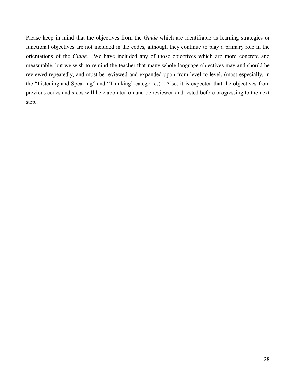Please keep in mind that the objectives from the *Guide* which are identifiable as learning strategies or functional objectives are not included in the codes, although they continue to play a primary role in the orientations of the *Guide*. We have included any of those objectives which are more concrete and measurable, but we wish to remind the teacher that many whole-language objectives may and should be reviewed repeatedly, and must be reviewed and expanded upon from level to level, (most especially, in the "Listening and Speaking" and "Thinking" categories). Also, it is expected that the objectives from previous codes and steps will be elaborated on and be reviewed and tested before progressing to the next step.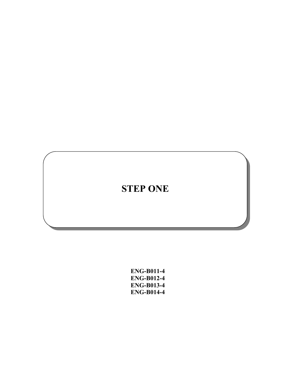# **STEP ONE**

**ENG-B011-4 ENG-B012-4 ENG-B013-4 ENG-B014-4**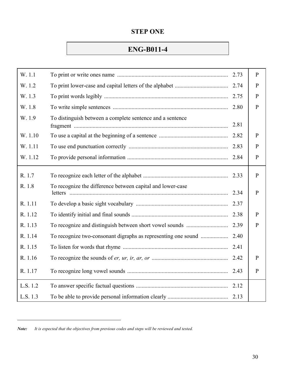### **STEP ONE**

# **ENG-B011-4**

| W. 1.1   |                                                               | 2.73 | $\mathbf{P}$ |
|----------|---------------------------------------------------------------|------|--------------|
| W. 1.2   |                                                               |      | $\mathbf{P}$ |
| W. 1.3   |                                                               | 2.75 | $\mathbf{P}$ |
| W. 1.8   |                                                               | 2.80 | $\mathbf{P}$ |
| W. 1.9   | To distinguish between a complete sentence and a sentence     | 2.81 |              |
| W. 1.10  |                                                               | 2.82 | P            |
| W. 1.11  |                                                               | 2.83 | $\mathbf{P}$ |
| W. 1.12  |                                                               | 2.84 | $\mathbf{P}$ |
| R. 1.7   |                                                               | 2.33 | $\mathbf{P}$ |
| R. 1.8   | To recognize the difference between capital and lower-case    | 2.34 | $\mathbf{P}$ |
| R. 1.11  |                                                               |      |              |
| R. 1.12  |                                                               | 2.38 | $\mathbf{P}$ |
| R. 1.13  |                                                               | 2.39 | $\mathbf{P}$ |
| R. 1.14  | To recognize two-consonant digraphs as representing one sound | 2.40 |              |
| R. 1.15  |                                                               |      |              |
| R. 1.16  |                                                               | 2.42 | P            |
| R. 1.17  |                                                               |      | $\mathbf{P}$ |
| L.S. 1.2 |                                                               |      |              |
| L.S. 1.3 |                                                               |      |              |

*Note: It is expected that the objectives from previous codes and steps will be reviewed and tested.*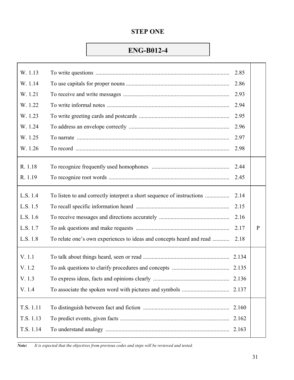# **STEP ONE**

# **ENG-B012-4**

| W. 1.13   |                                                                      | 2.85  |   |
|-----------|----------------------------------------------------------------------|-------|---|
| W. 1.14   |                                                                      | 2.86  |   |
| W. 1.21   |                                                                      | 2.93  |   |
| W. 1.22   |                                                                      | 2.94  |   |
| W. 1.23   |                                                                      | 2.95  |   |
| W. 1.24   |                                                                      | 2.96  |   |
| W. 1.25   |                                                                      | 2.97  |   |
| W. 1.26   |                                                                      | 2.98  |   |
| R. 1.18   |                                                                      | 2.44  |   |
| R. 1.19   |                                                                      | 2.45  |   |
| L.S. 1.4  |                                                                      | 2.14  |   |
| L.S. 1.5  |                                                                      | 2.15  |   |
| L.S. 1.6  |                                                                      | 2.16  |   |
| L.S. 1.7  |                                                                      | 2.17  | P |
| L.S. 1.8  | To relate one's own experiences to ideas and concepts heard and read | 2.18  |   |
| V. 1.1    |                                                                      |       |   |
| V. 1.2    |                                                                      |       |   |
| V. 1.3    |                                                                      |       |   |
| V. 1.4    |                                                                      |       |   |
| T.S. 1.11 |                                                                      | 2.160 |   |
| T.S. 1.13 |                                                                      | 2.162 |   |
| T.S. 1.14 |                                                                      | 2.163 |   |
|           |                                                                      |       |   |

*Note: It is expected that the objectives from previous codes and steps will be reviewed and tested.*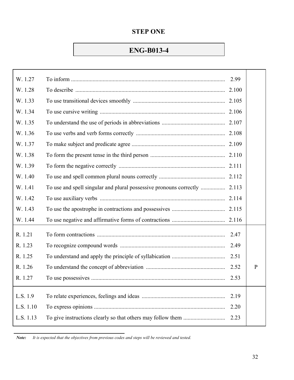# **ENG-B013-4**

| W. 1.27   | 2.99 |              |
|-----------|------|--------------|
| W. 1.28   |      |              |
| W. 1.33   |      |              |
| W. 1.34   |      |              |
| W. 1.35   |      |              |
| W. 1.36   |      |              |
| W. 1.37   |      |              |
| W. 1.38   |      |              |
| W. 1.39   |      |              |
| W. 1.40   |      |              |
| W. 1.41   |      |              |
| W. 1.42   |      |              |
| W. 1.43   |      |              |
| W. 1.44   |      |              |
| R. 1.21   | 2.47 |              |
| R. 1.23   | 2.49 |              |
| R. 1.25   | 2.51 |              |
| R. 1.26   | 2.52 | $\mathbf{P}$ |
| R. 1.27   | 2.53 |              |
|           |      |              |
| L.S. 1.9  | 2.19 |              |
| L.S. 1.10 | 2.20 |              |
| L.S. 1.13 | 2.23 |              |
|           |      |              |

 *Note: It is expected that the objectives from previous codes and steps will be reviewed and tested.*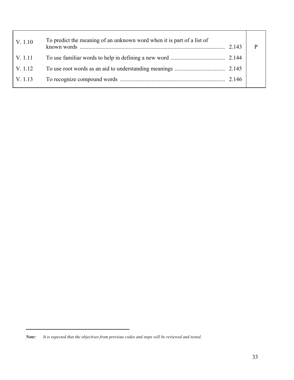| V. 1.10 | To predict the meaning of an unknown word when it is part of a list of | 2.143 |  |
|---------|------------------------------------------------------------------------|-------|--|
| V. 1.11 |                                                                        |       |  |
| V. 1.12 |                                                                        |       |  |
| V. 1.13 |                                                                        |       |  |
|         |                                                                        |       |  |

*Note: It is expected that the objectives from previous codes and steps will be reviewed and tested.*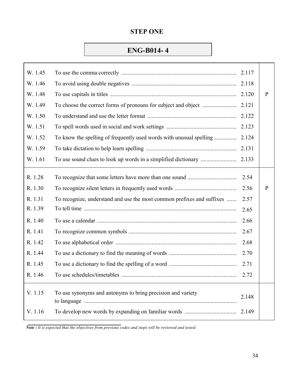# **ENG-B014- 4**

| W. 1.45 |                                                                        |       |   |
|---------|------------------------------------------------------------------------|-------|---|
| W. 1.46 |                                                                        |       |   |
| W. 1.48 |                                                                        |       | P |
| W. 1.49 |                                                                        | 2.121 |   |
| W. 1.50 |                                                                        | 2.122 |   |
| W. 1.51 |                                                                        |       |   |
| W. 1.52 |                                                                        | 2.124 |   |
| W. 1.59 |                                                                        | 2.131 |   |
| W. 1.61 |                                                                        | 2.133 |   |
| R. 1.28 |                                                                        | 2.54  |   |
| R. 1.30 |                                                                        | 2.56  | P |
| R. 1.31 | To recognize, understand and use the most common prefixes and suffixes | 2.57  |   |
| R. 1.39 |                                                                        | 2.65  |   |
| R. 1.40 |                                                                        | 2.66  |   |
| R. 1.41 |                                                                        | 2.67  |   |
| R. 1.42 |                                                                        | 2.68  |   |
| R. 1.44 |                                                                        | 2.70  |   |
| R. 1.45 |                                                                        | 2.71  |   |
| R. 1.46 |                                                                        | 2.72  |   |
| V. 1.15 | To use synonyms and antonyms to bring precision and variety            | 2.148 |   |
| V. 1.16 |                                                                        |       |   |

*Note : It is expected that the objectives from previous codes and steps will be reviewed and tested.*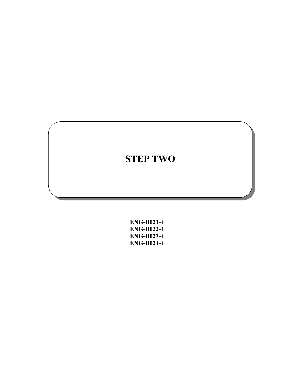| <b>ENG-B021-4</b> |
|-------------------|
| <b>ENG-B022-4</b> |
| <b>ENG-B023-4</b> |
| <b>ENG-B024-4</b> |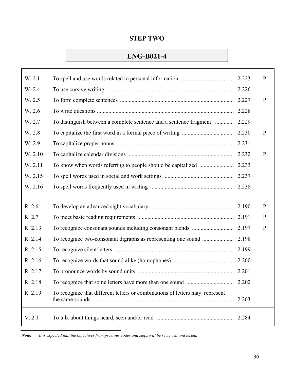# **ENG-B021-4**

| W. 2.1  |                                                                              |       | $\mathbf{P}$ |
|---------|------------------------------------------------------------------------------|-------|--------------|
| W. 2.4  |                                                                              |       |              |
| W. 2.5  |                                                                              |       | $\mathbf{P}$ |
| W. 2.6  |                                                                              | 2.228 |              |
| W. 2.7  | To distinguish between a complete sentence and a sentence fragment  2.229    |       |              |
| W. 2.8  |                                                                              |       | $\mathbf{P}$ |
| W. 2.9  |                                                                              |       |              |
| W. 2.10 |                                                                              | 2.232 | $\mathbf{P}$ |
| W. 2.11 |                                                                              |       |              |
| W. 2.15 |                                                                              |       |              |
| W. 2.16 |                                                                              |       |              |
|         |                                                                              |       |              |
| R. 2.6  |                                                                              |       | $\mathbf{P}$ |
| R. 2.7  |                                                                              |       | P            |
| R. 2.13 |                                                                              | 2.197 | $\mathbf{P}$ |
| R. 2.14 |                                                                              | 2.198 |              |
| R. 2.15 |                                                                              | 2.199 |              |
| R. 2.16 |                                                                              | 2.200 |              |
| R. 2.17 |                                                                              | 2.201 |              |
| R. 2.18 |                                                                              |       |              |
| R. 2.19 |                                                                              |       |              |
|         | To recognize that different letters or combinations of letters may represent | 2.203 |              |

*Note: It is expected that the objectives from previous codes and steps will be reviewed and tested.*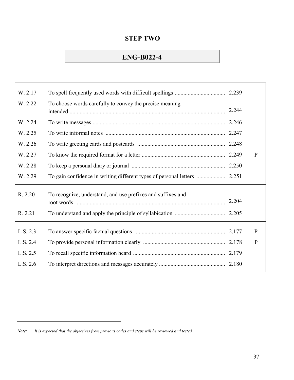# **ENG-B022-4**

| W. 2.17  |                                                             |       |              |
|----------|-------------------------------------------------------------|-------|--------------|
| W. 2.22  | To choose words carefully to convey the precise meaning     | 2.244 |              |
| W. 2.24  |                                                             |       |              |
| W. 2.25  |                                                             |       |              |
| W. 2.26  |                                                             |       |              |
| W. 2.27  |                                                             | 2.249 | $\mathbf{P}$ |
| W. 2.28  |                                                             |       |              |
| W. 2.29  |                                                             |       |              |
| R. 2.20  | To recognize, understand, and use prefixes and suffixes and | 2.204 |              |
| R. 2.21  |                                                             |       |              |
| L.S. 2.3 |                                                             |       | P            |
| L.S. 2.4 |                                                             |       | $\mathbf{P}$ |
| L.S. 2.5 |                                                             |       |              |
| L.S. 2.6 |                                                             |       |              |

*Note: It is expected that the objectives from previous codes and steps will be reviewed and tested.*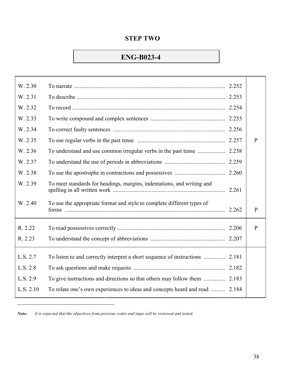# **ENG-B023-4**

| W. 2.30   |                                                                             | 2.252 |              |
|-----------|-----------------------------------------------------------------------------|-------|--------------|
| W. 2.31   |                                                                             | 2.253 |              |
| W. 2.32   |                                                                             |       |              |
| W. 2.33   |                                                                             |       |              |
| W. 2.34   |                                                                             |       |              |
| W. 2.35   |                                                                             |       | $\mathbf{P}$ |
| W. 2.36   | To understand and use common irregular verbs in the past tense              | 2.258 |              |
| W. 2.37   |                                                                             | 2.259 |              |
| W. 2.38   |                                                                             | 2.260 |              |
| W. 2.39   | To meet standards for headings, margins, indentations, and writing and      |       |              |
| W. 2.40   | To use the appropriate format and style to complete different types of      | 2.262 | $\mathbf{P}$ |
| R. 2.22   |                                                                             |       | $\mathbf{P}$ |
| R. 2.23   |                                                                             |       |              |
| L.S. 2.7  |                                                                             |       |              |
| L.S. 2.8  |                                                                             |       |              |
| L.S. 2.9  |                                                                             | 2.183 |              |
| L.S. 2.10 | To relate one's own experiences to ideas and concepts heard and read  2.184 |       |              |

*Note: It is expected that the objectives from previous codes and steps will be reviewed and tested.*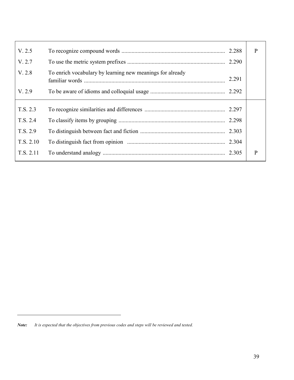| V. 2.5    |                                                           |       | P            |
|-----------|-----------------------------------------------------------|-------|--------------|
| V. 2.7    |                                                           | 2.290 |              |
| V. 2.8    | To enrich vocabulary by learning new meanings for already | 2.291 |              |
| V. 2.9    |                                                           |       |              |
|           |                                                           |       |              |
| T.S. 2.3  |                                                           | 2.297 |              |
| T.S. 2.4  |                                                           | 2.298 |              |
| T.S. 2.9  |                                                           | 2.303 |              |
| T.S. 2.10 |                                                           | 2.304 |              |
| T.S. 2.11 |                                                           | 2.305 | $\mathbf{P}$ |
|           |                                                           |       |              |

*Note: It is expected that the objectives from previous codes and steps will be reviewed and tested.*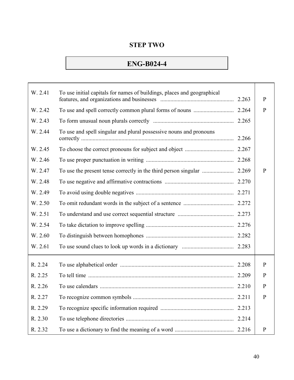# **ENG-B024-4**

| W. 2.41 | To use initial capitals for names of buildings, places and geographical |       | $\mathbf{P}$ |
|---------|-------------------------------------------------------------------------|-------|--------------|
| W. 2.42 |                                                                         |       | $\mathbf{P}$ |
| W. 2.43 |                                                                         |       |              |
| W. 2.44 | To use and spell singular and plural possessive nouns and pronouns      | 2.266 |              |
| W. 2.45 |                                                                         |       |              |
| W. 2.46 |                                                                         |       |              |
| W. 2.47 |                                                                         |       | P            |
| W. 2.48 |                                                                         | 2.270 |              |
| W. 2.49 |                                                                         |       |              |
| W. 2.50 |                                                                         |       |              |
| W. 2.51 |                                                                         |       |              |
| W. 2.54 |                                                                         |       |              |
| W. 2.60 |                                                                         |       |              |
| W. 2.61 |                                                                         |       |              |
| R. 2.24 |                                                                         |       | P            |
| R. 2.25 |                                                                         |       | $\mathbf{P}$ |
| R. 2.26 |                                                                         |       | $\mathbf{P}$ |
| R. 2.27 |                                                                         |       | $\mathbf{P}$ |
| R. 2.29 |                                                                         |       |              |
| R. 2.30 |                                                                         |       |              |
| R. 2.32 |                                                                         |       | $\, {\bf p}$ |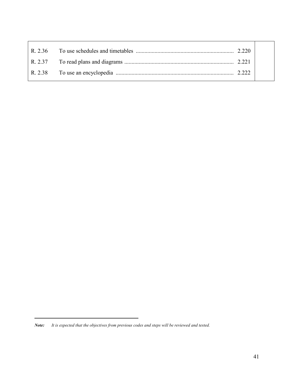*Note: It is expected that the objectives from previous codes and steps will be reviewed and tested.*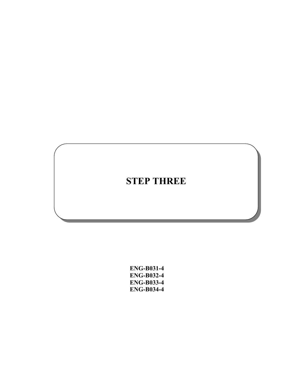# **STEP THREE**

**ENG-B031-4 ENG-B032-4 ENG-B033-4 ENG-B034-4**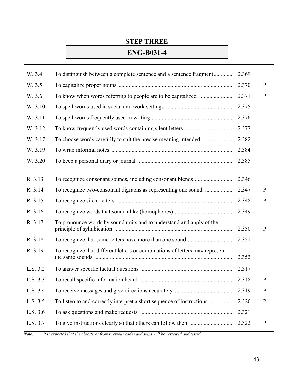# **STEP THREE**

# **ENG-B031-4**

| W. 3.4   | To distinguish between a complete sentence and a sentence fragment           | 2.369 |              |
|----------|------------------------------------------------------------------------------|-------|--------------|
| W. 3.5   |                                                                              | 2.370 | $\mathbf{P}$ |
| W. 3.6   |                                                                              | 2.371 | $\mathbf{P}$ |
| W. 3.10  |                                                                              | 2.375 |              |
| W. 3.11  |                                                                              |       |              |
| W. 3.12  |                                                                              |       |              |
| W. 3.17  | To choose words carefully to suit the precise meaning intended               | 2.382 |              |
| W. 3.19  |                                                                              |       |              |
| W. 3.20  |                                                                              |       |              |
| R. 3.13  |                                                                              |       |              |
| R. 3.14  |                                                                              |       | $\mathbf{P}$ |
| R. 3.15  |                                                                              |       | $\mathbf{P}$ |
| R. 3.16  |                                                                              | 2.349 |              |
| R. 3.17  | To pronounce words by sound units and to understand and apply of the         | 2.350 | $\mathbf{P}$ |
| R. 3.18  |                                                                              |       |              |
| R. 3.19  | To recognize that different letters or combinations of letters may represent | 2.352 |              |
| L.S. 3.2 |                                                                              |       |              |
| L.S. 3.3 |                                                                              |       | P            |
| L.S. 3.4 |                                                                              | 2.319 | $\mathbf{P}$ |
| L.S. 3.5 | To listen to and correctly interpret a short sequence of instructions        | 2.320 | $\mathbf{P}$ |
| L.S. 3.6 |                                                                              | 2.321 |              |
| L.S. 3.7 |                                                                              |       | $\mathbf{P}$ |
|          |                                                                              |       |              |

*Note: It is expected that the objectives from previous codes and steps will be reviewed and tested.*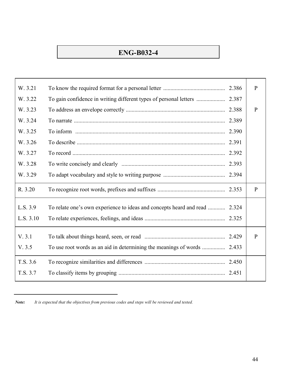# **ENG-B032-4**

| W. 3.21   |                                                                     | 2.386 | $\mathbf{P}$ |
|-----------|---------------------------------------------------------------------|-------|--------------|
| W. 3.22   | To gain confidence in writing different types of personal letters   | 2.387 |              |
| W. 3.23   |                                                                     | 2.388 | $\mathbf{P}$ |
| W. 3.24   |                                                                     | 2.389 |              |
| W. 3.25   |                                                                     | 2.390 |              |
| W. 3.26   |                                                                     | 2.391 |              |
| W. 3.27   |                                                                     | 2.392 |              |
| W. 3.28   |                                                                     | 2.393 |              |
| W. 3.29   |                                                                     |       |              |
| R. 3.20   |                                                                     |       | $\mathbf{P}$ |
| L.S. 3.9  | To relate one's own experience to ideas and concepts heard and read | 2.324 |              |
| L.S. 3.10 |                                                                     |       |              |
| V. 3.1    |                                                                     | 2.429 | $\mathbf{P}$ |
| V. 3.5    |                                                                     |       |              |
| T.S. 3.6  |                                                                     | 2.450 |              |
| T.S. 3.7  |                                                                     | 2.451 |              |
|           |                                                                     |       |              |

*Note: It is expected that the objectives from previous codes and steps will be reviewed and tested.*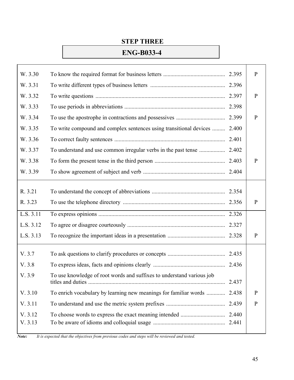#### **STEP THREE**

#### **ENG-B033-4**

| W. 3.30            |                                                                       | 2.395 | $\mathbf{P}$ |
|--------------------|-----------------------------------------------------------------------|-------|--------------|
| W. 3.31            |                                                                       |       |              |
| W. 3.32            |                                                                       |       | $\mathbf{P}$ |
| W. 3.33            |                                                                       | 2.398 |              |
| W. 3.34            |                                                                       | 2.399 | $\mathbf{P}$ |
| W. 3.35            | To write compound and complex sentences using transitional devices    | 2.400 |              |
| W. 3.36            |                                                                       | 2.401 |              |
| W. 3.37            |                                                                       |       |              |
| W. 3.38            |                                                                       | 2.403 | P            |
| W. 3.39            |                                                                       |       |              |
|                    |                                                                       |       |              |
| R. 3.21            |                                                                       |       |              |
| R. 3.23            |                                                                       |       | $\mathbf{P}$ |
| L.S. 3.11          |                                                                       |       |              |
| L.S. 3.12          |                                                                       |       |              |
| L.S. 3.13          |                                                                       |       | $\mathbf{P}$ |
| V.3.7              |                                                                       |       |              |
| V. 3.8             |                                                                       |       |              |
| V.3.9              | To use knowledge of root words and suffixes to understand various job | 2.437 |              |
| V. 3.10            | To enrich vocabulary by learning new meanings for familiar words      | 2.438 | $\mathbf{P}$ |
| V. 3.11            |                                                                       | 2.439 | $\mathbf{P}$ |
| V. 3.12<br>V. 3.13 |                                                                       | 2.440 |              |
|                    |                                                                       |       |              |

*Note: It is expected that the objectives from previous codes and steps will be reviewed and tested.*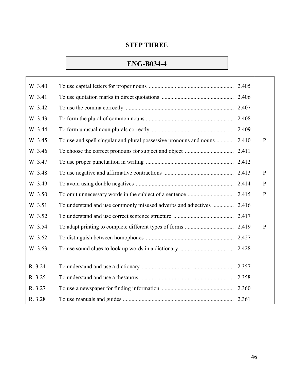#### **STEP THREE**

# **ENG-B034-4**

 $\overline{\Gamma}$ 

| W. 3.40 |                                                               | 2.405 |              |
|---------|---------------------------------------------------------------|-------|--------------|
| W. 3.41 |                                                               |       |              |
| W. 3.42 |                                                               | 2.407 |              |
| W. 3.43 |                                                               | 2.408 |              |
| W. 3.44 |                                                               | 2.409 |              |
| W. 3.45 |                                                               |       | $\mathbf{P}$ |
| W. 3.46 |                                                               |       |              |
| W. 3.47 |                                                               |       |              |
| W. 3.48 |                                                               | 2.413 | $\mathbf{P}$ |
| W. 3.49 |                                                               |       | $\mathbf{P}$ |
| W. 3.50 |                                                               |       | $\mathbf{P}$ |
| W. 3.51 | To understand and use commonly misused adverbs and adjectives | 2.416 |              |
| W. 3.52 |                                                               |       |              |
| W. 3.54 |                                                               |       | $\mathbf{P}$ |
| W. 3.62 |                                                               |       |              |
| W. 3.63 |                                                               |       |              |
| R. 3.24 |                                                               |       |              |
| R. 3.25 |                                                               | 2.358 |              |
| R. 3.27 |                                                               | 2.360 |              |
| R. 3.28 |                                                               |       |              |

 $\top$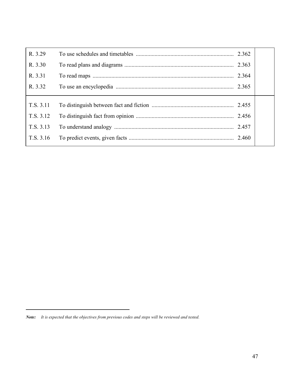| R. 3.29   | 2.362 |  |
|-----------|-------|--|
| R. 3.30   | 2.363 |  |
| R. 3.31   | 2.364 |  |
| R. 3.32   | 2.365 |  |
|           |       |  |
| T.S. 3.11 | 2.455 |  |
| T.S. 3.12 | 2.456 |  |
| T.S. 3.13 | 2.457 |  |
| T.S. 3.16 |       |  |

*Note: It is expected that the objectives from previous codes and steps will be reviewed and tested.*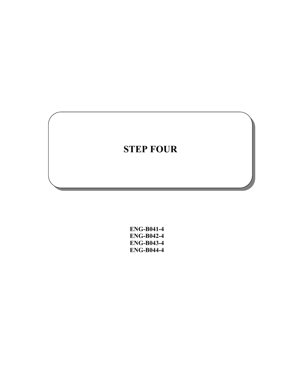**ENG-B041-4 ENG-B042-4 ENG-B043-4 ENG-B044-4**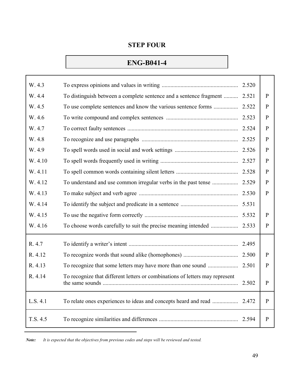### **ENG-B041-4**

Г

| W. 4.3   |                                                                              |       |              |
|----------|------------------------------------------------------------------------------|-------|--------------|
| W. 4.4   | To distinguish between a complete sentence and a sentence fragment  2.521    |       | P            |
| W. 4.5   | To use complete sentences and know the various sentence forms                | 2.522 | P            |
| W. 4.6   |                                                                              |       | P            |
| W. 4.7   |                                                                              |       | P            |
| W. 4.8   |                                                                              |       | P            |
| W. 4.9   |                                                                              |       | P            |
| W. 4.10  |                                                                              |       | $\mathbf{P}$ |
| W. 4.11  |                                                                              |       | P            |
| W. 4.12  | To understand and use common irregular verbs in the past tense               | 2.529 | P            |
| W. 4.13  |                                                                              |       | $\mathbf{P}$ |
| W. 4.14  |                                                                              |       |              |
| W. 4.15  |                                                                              |       | P            |
| W. 4.16  |                                                                              |       | P            |
| R. 4.7   |                                                                              | 2.495 |              |
| R. 4.12  |                                                                              |       | P            |
| R. 4.13  |                                                                              |       | P            |
| R. 4.14  | To recognize that different letters or combinations of letters may represent | 2.502 | P            |
| L.S. 4.1 |                                                                              |       | P            |
| T.S. 4.5 |                                                                              | 2.594 | P            |

*Note: It is expected that the objectives from previous codes and steps will be reviewed and tested.*

Τ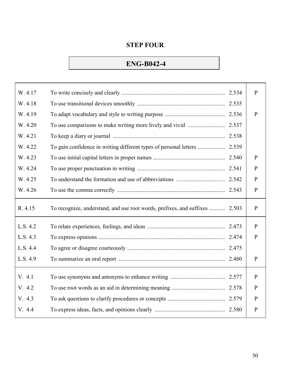# **ENG-B042-4**

| W. 4.17  |                                                                             |       | $\mathbf{P}$ |
|----------|-----------------------------------------------------------------------------|-------|--------------|
| W. 4.18  |                                                                             |       |              |
| W. 4.19  |                                                                             |       | $\mathbf{P}$ |
| W. 4.20  | To use comparisons to make writing more lively and vivid                    | 2.537 |              |
| W. 4.21  |                                                                             |       |              |
| W. 4.22  |                                                                             |       |              |
| W. 4.23  |                                                                             |       | $\mathbf{P}$ |
| W. 4.24  |                                                                             |       | $\mathbf{P}$ |
| W. 4.25  |                                                                             | 2.542 | $\mathbf{P}$ |
| W. 4.26  |                                                                             |       | $\mathbf{P}$ |
| R. 4.15  |                                                                             |       |              |
|          | To recognize, understand, and use root words, prefixes, and suffixes  2.503 |       | ${\bf P}$    |
| L.S. 4.2 |                                                                             |       | $\mathbf{P}$ |
| L.S. 4.3 |                                                                             |       | $\mathbf{P}$ |
| L.S. 4.4 |                                                                             |       |              |
| L.S. 4.9 |                                                                             |       | $\mathbf{P}$ |
| V. 4.1   |                                                                             |       | $\mathbf{P}$ |
| V. 4.2   |                                                                             |       | $\mathbf{P}$ |
| V. 4.3   |                                                                             | 2.579 | $\mathbf{P}$ |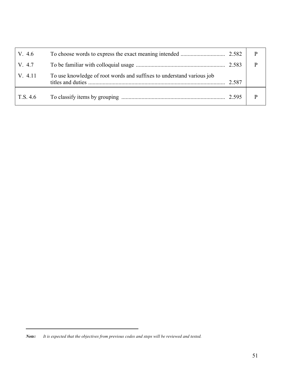| V. 4.6   |                                                                       |       |  |
|----------|-----------------------------------------------------------------------|-------|--|
| V. 4.7   |                                                                       |       |  |
| V. 4.11  | To use knowledge of root words and suffixes to understand various job | 2.587 |  |
| T.S. 4.6 |                                                                       |       |  |

*Note: It is expected that the objectives from previous codes and steps will be reviewed and tested.*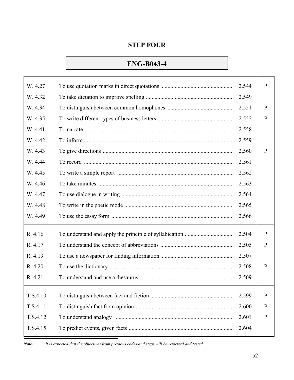# **ENG-B043-4**

| W. 4.27  | 2.544 | $\mathbf{P}$ |
|----------|-------|--------------|
| W. 4.32  | 2.549 |              |
| W. 4.34  | 2.551 | $\mathbf{P}$ |
| W. 4.35  | 2.552 | $\mathbf{P}$ |
| W. 4.41  | 2.558 |              |
| W. 4.42  | 2.559 |              |
| W. 4.43  | 2.560 | $\mathbf{P}$ |
| W. 4.44  | 2.561 |              |
| W. 4.45  | 2.562 |              |
| W. 4.46  | 2.563 |              |
| W. 4.47  | 2.564 |              |
| W. 4.48  | 2.565 |              |
| W. 4.49  | 2.566 |              |
| R. 4.16  | 2.504 | $\mathbf{P}$ |
| R. 4.17  | 2.505 | $\mathbf{P}$ |
| R. 4.19  | 2.507 |              |
| R. 4.20  | 2.508 | $\mathbf{P}$ |
| R. 4.21  | 2.509 |              |
|          |       |              |
| T.S.4.10 | 2.599 | $\mathbf{P}$ |
| T.S.4.11 | 2.600 | $\mathbf{P}$ |
| T.S.4.12 | 2.601 | $\mathbf{P}$ |
| T.S.4.15 | 2.604 |              |
|          |       |              |

*Note: It is expected that the objectives from previous codes and steps will be reviewed and tested.*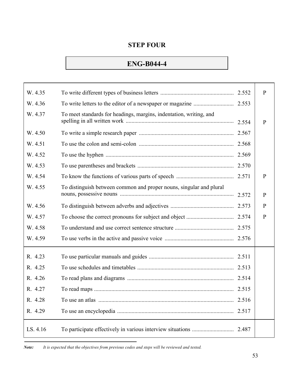# **ENG-B044-4**

| W. 4.35  |                                                                     | 2.552 | $\mathbf{P}$ |
|----------|---------------------------------------------------------------------|-------|--------------|
| W. 4.36  |                                                                     | 2.553 |              |
| W. 4.37  | To meet standards for headings, margins, indentation, writing, and  |       |              |
|          |                                                                     | 2.554 | $\mathbf{P}$ |
| W. 4.50  |                                                                     | 2.567 |              |
| W. 4.51  |                                                                     |       |              |
| W. 4.52  |                                                                     |       |              |
| W. 4.53  |                                                                     | 2.570 |              |
| W. 4.54  |                                                                     |       | $\mathbf{P}$ |
| W. 4.55  | To distinguish between common and proper nouns, singular and plural |       |              |
|          |                                                                     | 2.572 | P            |
| W. 4.56  |                                                                     | 2.573 | $\mathbf{P}$ |
| W. 4.57  |                                                                     | 2.574 | $\mathbf{P}$ |
| W. 4.58  |                                                                     |       |              |
| W. 4.59  |                                                                     |       |              |
| R. 4.23  |                                                                     |       |              |
|          |                                                                     |       |              |
| R. 4.25  |                                                                     | 2.513 |              |
| R. 4.26  |                                                                     |       |              |
| R. 4.27  |                                                                     |       |              |
| R. 4.28  | $\sim$                                                              | 2.516 |              |
| R. 4.29  |                                                                     | 2.517 |              |
| LS. 4.16 |                                                                     | 2.487 |              |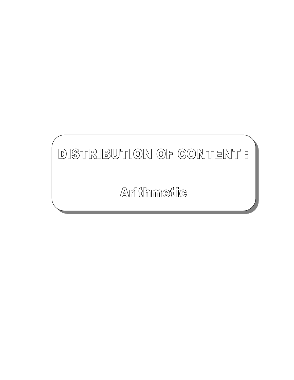# DISTRIBUTION OF CONTENT :

Arithmetic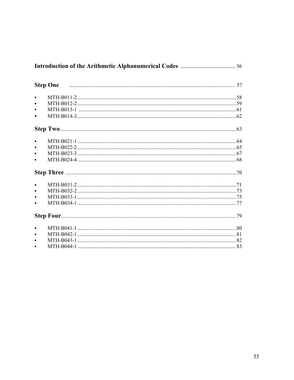| $\bullet$ |                     |  |
|-----------|---------------------|--|
| $\bullet$ |                     |  |
|           |                     |  |
| $\bullet$ |                     |  |
|           |                     |  |
| $\bullet$ |                     |  |
| $\bullet$ |                     |  |
| $\bullet$ |                     |  |
| $\bullet$ |                     |  |
|           |                     |  |
| $\bullet$ |                     |  |
| $\bullet$ |                     |  |
|           |                     |  |
| $\bullet$ |                     |  |
|           | <b>Step Four</b> 29 |  |
| $\bullet$ |                     |  |
| $\bullet$ |                     |  |
| $\bullet$ |                     |  |
| $\bullet$ |                     |  |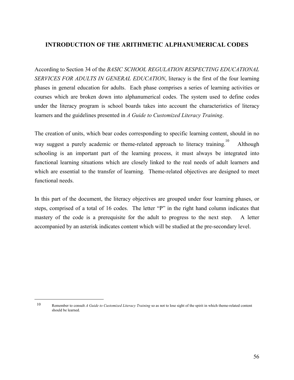#### **INTRODUCTION OF THE ARITHMETIC ALPHANUMERICAL CODES**

According to Section 34 of the *BASIC SCHOOL REGULATION RESPECTING EDUCATIONAL SERVICES FOR ADULTS IN GENERAL EDUCATION*, literacy is the first of the four learning phases in general education for adults. Each phase comprises a series of learning activities or courses which are broken down into alphanumerical codes. The system used to define codes under the literacy program is school boards takes into account the characteristics of literacy learners and the guidelines presented in *A Guide to Customized Literacy Training*.

The creation of units, which bear codes corresponding to specific learning content, should in no way suggest a purely academic or theme-related approach to literacy training. 10 Although schooling is an important part of the learning process, it must always be integrated into functional learning situations which are closely linked to the real needs of adult learners and which are essential to the transfer of learning. Theme-related objectives are designed to meet functional needs.

In this part of the document, the literacy objectives are grouped under four learning phases, or steps, comprised of a total of 16 codes. The letter "P" in the right hand column indicates that mastery of the code is a prerequisite for the adult to progress to the next step. A letter accompanied by an asterisk indicates content which will be studied at the pre-secondary level.

10 Remember to consult *A Guide to Customized Literacy Training* so as not to lose sight of the spirit in which theme-related content should be learned.

 $\overline{a}$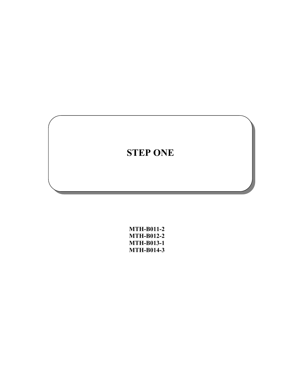| <b>MTH-B011-2</b> |
|-------------------|
| <b>MTH-B012-2</b> |
| <b>MTH-B013-1</b> |
| <b>MTH-B014-3</b> |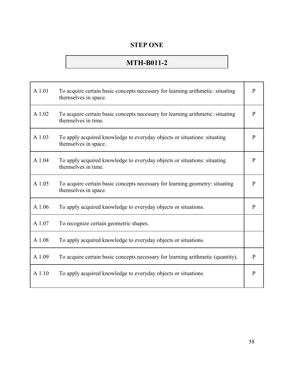# **MTH-B011-2**

| A 1.01 | To acquire certain basic concepts necessary for learning arithmetic: situating<br>themselves in space. | $\mathbf{P}$ |
|--------|--------------------------------------------------------------------------------------------------------|--------------|
| A 1.02 | To acquire certain basic concepts necessary for learning arithmetic: situating<br>themselves in time.  | $\mathbf{P}$ |
| A 1.03 | To apply acquired knowledge to everyday objects or situations: situating<br>themselves in space.       | $\mathbf{P}$ |
| A 1.04 | To apply acquired knowledge to everyday objects or situations: situating<br>themselves in time.        | $\mathbf{P}$ |
| A 1.05 | To acquire certain basic concepts necessary for learning geometry: situating<br>themselves in space.   | $\mathbf{P}$ |
| A 1.06 | To apply acquired knowledge to every day objects or situations.                                        | P            |
| A 1.07 | To recognize certain geometric shapes.                                                                 |              |
| A 1.08 | To apply acquired knowledge to everyday objects or situations.                                         |              |
| A 1.09 | To acquire certain basic concepts necessary for learning arithmetic (quantity).                        | $\mathbf{P}$ |
| A 1.10 | To apply acquired knowledge to everyday objects or situations.                                         | $\mathbf{P}$ |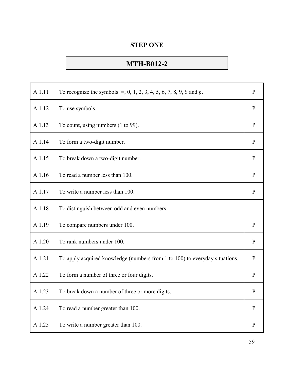# **MTH-B012-2**

| A 1.11 | To recognize the symbols =, 0, 1, 2, 3, 4, 5, 6, 7, 8, 9, \$ and $\phi$ .   | $\mathbf{P}$ |
|--------|-----------------------------------------------------------------------------|--------------|
| A 1.12 | To use symbols.                                                             | $\mathbf{P}$ |
| A 1.13 | To count, using numbers (1 to 99).                                          | $\mathbf{P}$ |
| A 1.14 | To form a two-digit number.                                                 | $\mathbf{P}$ |
| A 1.15 | To break down a two-digit number.                                           | $\mathbf{P}$ |
| A 1.16 | To read a number less than 100.                                             | $\mathbf{P}$ |
| A 1.17 | To write a number less than 100.                                            | $\mathbf{P}$ |
| A 1.18 | To distinguish between odd and even numbers.                                |              |
| A 1.19 | To compare numbers under 100.                                               | P            |
| A 1.20 | To rank numbers under 100.                                                  | $\mathbf{P}$ |
| A 1.21 | To apply acquired knowledge (numbers from 1 to 100) to everyday situations. | $\mathbf{P}$ |
| A 1.22 | To form a number of three or four digits.                                   | $\mathbf{P}$ |
| A 1.23 | To break down a number of three or more digits.                             | $\mathbf{P}$ |
| A 1.24 | To read a number greater than 100.                                          | $\mathbf{P}$ |
| A 1.25 | To write a number greater than 100.                                         | $\mathbf{P}$ |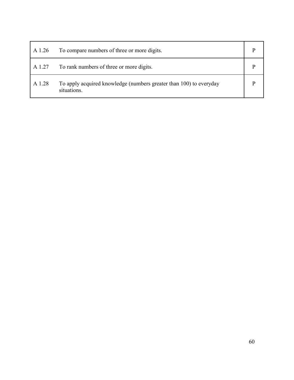| A 1.26 | To compare numbers of three or more digits.                                       |  |
|--------|-----------------------------------------------------------------------------------|--|
| A 1.27 | To rank numbers of three or more digits.                                          |  |
| A 1.28 | To apply acquired knowledge (numbers greater than 100) to everyday<br>situations. |  |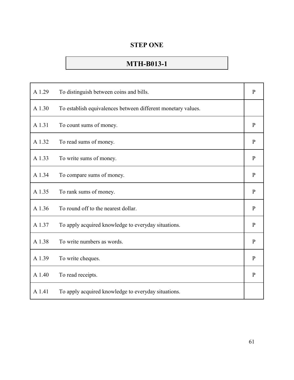# **MTH-B013-1**

| A 1.29 | To distinguish between coins and bills.                      | $\mathbf{P}$ |
|--------|--------------------------------------------------------------|--------------|
| A 1.30 | To establish equivalences between different monetary values. |              |
| A 1.31 | To count sums of money.                                      | $\mathbf{P}$ |
| A 1.32 | To read sums of money.                                       | $\mathbf{P}$ |
| A 1.33 | To write sums of money.                                      | $\mathbf{P}$ |
| A 1.34 | To compare sums of money.                                    | $\mathbf{P}$ |
| A 1.35 | To rank sums of money.                                       | $\mathbf{P}$ |
| A 1.36 | To round off to the nearest dollar.                          | $\mathbf{P}$ |
| A 1.37 | To apply acquired knowledge to everyday situations.          | $\mathbf{P}$ |
| A 1.38 | To write numbers as words.                                   | $\mathbf{P}$ |
| A 1.39 | To write cheques.                                            | $\mathbf{P}$ |
| A 1.40 | To read receipts.                                            | $\mathbf{P}$ |
| A 1.41 | To apply acquired knowledge to everyday situations.          |              |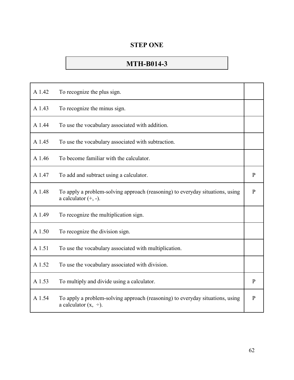# **MTH-B014-3**

| A 1.42 | To recognize the plus sign.                                                                                 |              |
|--------|-------------------------------------------------------------------------------------------------------------|--------------|
| A 1.43 | To recognize the minus sign.                                                                                |              |
| A 1.44 | To use the vocabulary associated with addition.                                                             |              |
| A 1.45 | To use the vocabulary associated with subtraction.                                                          |              |
| A 1.46 | To become familiar with the calculator.                                                                     |              |
| A 1.47 | To add and subtract using a calculator.                                                                     | $\mathbf{P}$ |
| A 1.48 | To apply a problem-solving approach (reasoning) to everyday situations, using<br>a calculator $(+, -)$ .    | $\mathbf{P}$ |
| A 1.49 | To recognize the multiplication sign.                                                                       |              |
| A 1.50 | To recognize the division sign.                                                                             |              |
| A 1.51 | To use the vocabulary associated with multiplication.                                                       |              |
| A 1.52 | To use the vocabulary associated with division.                                                             |              |
| A 1.53 | To multiply and divide using a calculator.                                                                  | $\mathbf{P}$ |
| A 1.54 | To apply a problem-solving approach (reasoning) to everyday situations, using<br>a calculator $(x, \div)$ . | $\mathbf{P}$ |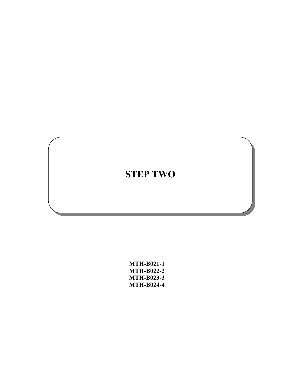**MTH-B021-1 MTH-B022-2 MTH-B023-3 MTH-B024-4**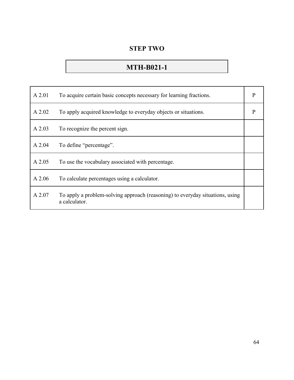# **MTH-B021-1**

| A 2.01   | To acquire certain basic concepts necessary for learning fractions.                            | $\mathbf{P}$ |
|----------|------------------------------------------------------------------------------------------------|--------------|
| A 2.02   | To apply acquired knowledge to every day objects or situations.                                | P            |
| $A$ 2.03 | To recognize the percent sign.                                                                 |              |
| A 2.04   | To define "percentage".                                                                        |              |
| A 2.05   | To use the vocabulary associated with percentage.                                              |              |
| A 2.06   | To calculate percentages using a calculator.                                                   |              |
| A 2.07   | To apply a problem-solving approach (reasoning) to everyday situations, using<br>a calculator. |              |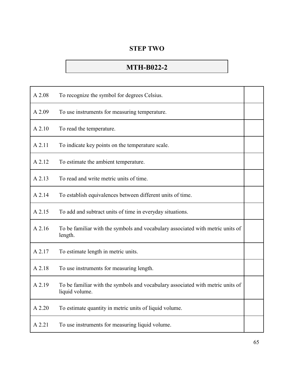# **MTH-B022-2**

| A 2.08 | To recognize the symbol for degrees Celsius.                                                     |  |
|--------|--------------------------------------------------------------------------------------------------|--|
| A 2.09 | To use instruments for measuring temperature.                                                    |  |
| A 2.10 | To read the temperature.                                                                         |  |
| A 2.11 | To indicate key points on the temperature scale.                                                 |  |
| A 2.12 | To estimate the ambient temperature.                                                             |  |
| A 2.13 | To read and write metric units of time.                                                          |  |
| A 2.14 | To establish equivalences between different units of time.                                       |  |
| A 2.15 | To add and subtract units of time in everyday situations.                                        |  |
| A 2.16 | To be familiar with the symbols and vocabulary associated with metric units of<br>length.        |  |
| A 2.17 | To estimate length in metric units.                                                              |  |
| A 2.18 | To use instruments for measuring length.                                                         |  |
| A 2.19 | To be familiar with the symbols and vocabulary associated with metric units of<br>liquid volume. |  |
| A 2.20 | To estimate quantity in metric units of liquid volume.                                           |  |
| A 2.21 | To use instruments for measuring liquid volume.                                                  |  |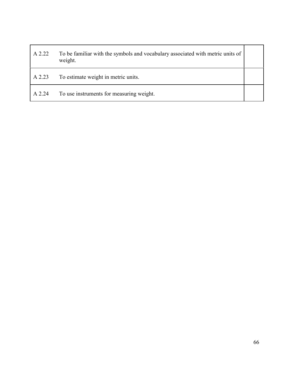| A 2.22 | To be familiar with the symbols and vocabulary associated with metric units of<br>weight. |  |
|--------|-------------------------------------------------------------------------------------------|--|
| A 2.23 | To estimate weight in metric units.                                                       |  |
| A 2.24 | To use instruments for measuring weight.                                                  |  |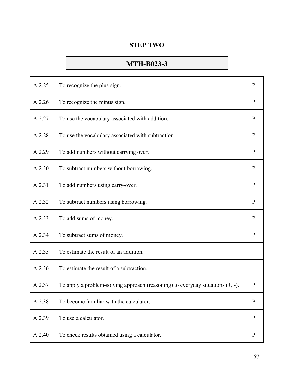# **MTH-B023-3**

| A 2.25 | To recognize the plus sign.                                                       | $\mathbf{P}$ |
|--------|-----------------------------------------------------------------------------------|--------------|
| A 2.26 | To recognize the minus sign.                                                      | $\mathbf{P}$ |
| A 2.27 | To use the vocabulary associated with addition.                                   | $\mathbf{P}$ |
| A 2.28 | To use the vocabulary associated with subtraction.                                | $\mathbf{P}$ |
| A 2.29 | To add numbers without carrying over.                                             | $\mathbf{P}$ |
| A 2.30 | To subtract numbers without borrowing.                                            | $\mathbf{P}$ |
| A 2.31 | To add numbers using carry-over.                                                  | $\mathbf{P}$ |
| A 2.32 | To subtract numbers using borrowing.                                              | $\mathbf{P}$ |
|        |                                                                                   |              |
| A 2.33 | To add sums of money.                                                             | $\mathbf{P}$ |
| A 2.34 | To subtract sums of money.                                                        | $\mathbf{P}$ |
| A 2.35 | To estimate the result of an addition.                                            |              |
| A 2.36 | To estimate the result of a subtraction.                                          |              |
| A 2.37 | To apply a problem-solving approach (reasoning) to everyday situations $(+, -)$ . | $\mathbf{P}$ |
| A 2.38 | To become familiar with the calculator.                                           | $\mathbf{P}$ |
| A 2.39 | To use a calculator.                                                              | P            |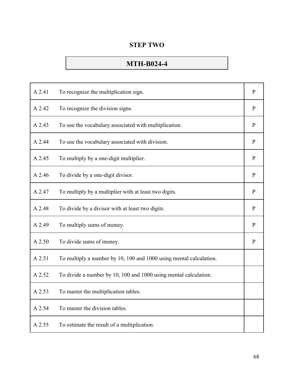#### **STEP TWO**

# **MTH-B024-4**

| A 2.41 | To recognize the multiplication sign.                              | $\mathbf{P}$ |
|--------|--------------------------------------------------------------------|--------------|
| A 2.42 | To recognize the division signs.                                   | $\mathbf{P}$ |
| A 2.43 | To use the vocabulary associated with multiplication.              | $\, {\bf p}$ |
| A 2.44 | To use the vocabulary associated with division.                    | $\mathbf{P}$ |
| A 2.45 | To multiply by a one-digit multiplier.                             | $\mathbf{P}$ |
| A 2.46 | To divide by a one-digit divisor.                                  | $\mathbf{P}$ |
| A 2.47 | To multiply by a multiplier with at least two digits.              | $\mathbf{P}$ |
| A 2.48 | To divide by a divisor with at least two digits.                   | $\mathbf{P}$ |
| A 2.49 | To multiply sums of money.                                         | $\mathbf{P}$ |
| A 2.50 | To divide sums of money.                                           | $\mathbf{P}$ |
| A 2.51 | To multiply a number by 10, 100 and 1000 using mental calculation. |              |
| A 2.52 | To divide a number by 10, 100 and 1000 using mental calculation.   |              |
| A 2.53 | To master the multiplication tables.                               |              |
| A 2.54 | To master the division tables.                                     |              |
| A 2.55 | To estimate the result of a multiplication.                        |              |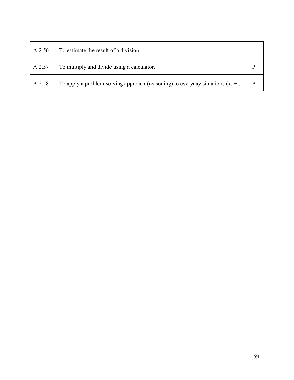| A 2.56 | To estimate the result of a division.                                                |  |
|--------|--------------------------------------------------------------------------------------|--|
| A 2.57 | To multiply and divide using a calculator.                                           |  |
| A 2.58 | To apply a problem-solving approach (reasoning) to everyday situations $(x, \div)$ . |  |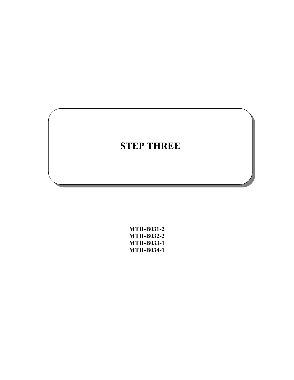**MTH-B031-2 MTH-B032-2 MTH-B033-1 MTH-B034-1**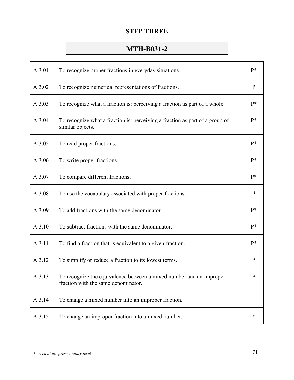# **MTH-B031-2**

| A 3.01 | To recognize proper fractions in everyday situations.                                                      | p*           |
|--------|------------------------------------------------------------------------------------------------------------|--------------|
| A 3.02 | To recognize numerical representations of fractions.                                                       | $\mathbf{P}$ |
| A 3.03 | To recognize what a fraction is: perceiving a fraction as part of a whole.                                 | $P*$         |
| A 3.04 | To recognize what a fraction is: perceiving a fraction as part of a group of<br>similar objects.           | $P*$         |
| A 3.05 | To read proper fractions.                                                                                  | $P*$         |
| A 3.06 | To write proper fractions.                                                                                 | $P*$         |
| A 3.07 | To compare different fractions.                                                                            | $P*$         |
| A 3.08 | To use the vocabulary associated with proper fractions.                                                    | *            |
| A 3.09 | To add fractions with the same denominator.                                                                | $P*$         |
| A 3.10 | To subtract fractions with the same denominator.                                                           | $P*$         |
| A 3.11 | To find a fraction that is equivalent to a given fraction.                                                 | $P*$         |
| A 3.12 | To simplify or reduce a fraction to its lowest terms.                                                      | *            |
| A 3.13 | To recognize the equivalence between a mixed number and an improper<br>fraction with the same denominator. | P            |
| A 3.14 | To change a mixed number into an improper fraction.                                                        |              |
| A 3.15 | To change an improper fraction into a mixed number.                                                        | $\ast$       |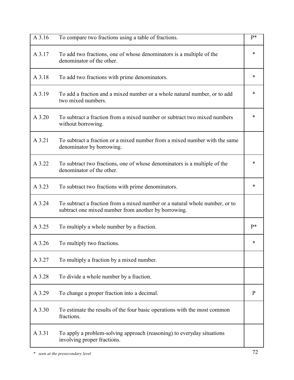| A 3.16 | To compare two fractions using a table of fractions.                                                                                | $P*$   |
|--------|-------------------------------------------------------------------------------------------------------------------------------------|--------|
| A 3.17 | To add two fractions, one of whose denominators is a multiple of the<br>denominator of the other.                                   | *      |
| A 3.18 | To add two fractions with prime denominators.                                                                                       | $\ast$ |
| A 3.19 | To add a fraction and a mixed number or a whole natural number, or to add<br>two mixed numbers.                                     | $\ast$ |
| A 3.20 | To subtract a fraction from a mixed number or subtract two mixed numbers<br>without borrowing.                                      | *      |
| A 3.21 | To subtract a fraction or a mixed number from a mixed number with the same<br>denominator by borrowing.                             |        |
| A 3.22 | To subtract two fractions, one of whose denominators is a multiple of the<br>denominator of the other.                              | *      |
| A 3.23 | To subtract two fractions with prime denominators.                                                                                  | $\ast$ |
| A 3.24 | To subtract a fraction from a mixed number or a natural whole number, or to<br>subtract one mixed number from another by borrowing. |        |
| A 3.25 | To multiply a whole number by a fraction.                                                                                           | $P*$   |
| A 3.26 | To multiply two fractions.                                                                                                          | *      |
| A 3.27 | To multiply a fraction by a mixed number.                                                                                           |        |
| A 3.28 | To divide a whole number by a fraction.                                                                                             |        |
| A 3.29 | To change a proper fraction into a decimal.                                                                                         | P      |
| A 3.30 | To estimate the results of the four basic operations with the most common<br>fractions.                                             |        |
| A 3.31 | To apply a problem-solving approach (reasoning) to everyday situations<br>involving proper fractions.                               |        |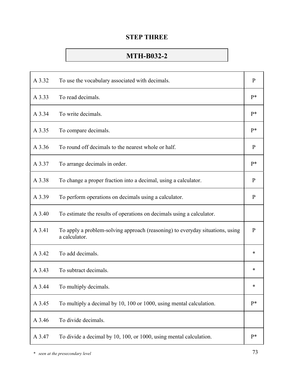# **MTH-B032-2**

| A 3.32 | To use the vocabulary associated with decimals.                                                | $\mathbf{P}$ |
|--------|------------------------------------------------------------------------------------------------|--------------|
| A 3.33 | To read decimals.                                                                              | $P*$         |
| A 3.34 | To write decimals.                                                                             | $P*$         |
| A 3.35 | To compare decimals.                                                                           | $P*$         |
| A 3.36 | To round off decimals to the nearest whole or half.                                            | $\mathbf{P}$ |
| A 3.37 | To arrange decimals in order.                                                                  | $P*$         |
| A 3.38 | To change a proper fraction into a decimal, using a calculator.                                | $\mathbf{P}$ |
| A 3.39 | To perform operations on decimals using a calculator.                                          | $\mathbf{P}$ |
| A 3.40 | To estimate the results of operations on decimals using a calculator.                          |              |
| A 3.41 | To apply a problem-solving approach (reasoning) to everyday situations, using<br>a calculator. | $\mathbf{P}$ |
| A 3.42 | To add decimals.                                                                               | *            |
| A 3.43 | To subtract decimals.                                                                          | *            |
| A 3.44 | To multiply decimals.                                                                          | *            |
| A 3.45 | To multiply a decimal by 10, 100 or 1000, using mental calculation.                            | $P*$         |
| A 3.46 | To divide decimals.                                                                            |              |
| A 3.47 | To divide a decimal by 10, 100, or 1000, using mental calculation.                             | $P*$         |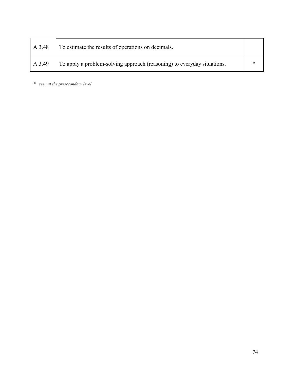| A 3.48 | To estimate the results of operations on decimals.                      |   |
|--------|-------------------------------------------------------------------------|---|
| A 3.49 | To apply a problem-solving approach (reasoning) to everyday situations. | ∗ |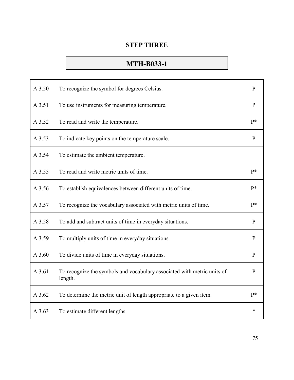## **MTH-B033-1**

| A 3.50 | To recognize the symbol for degrees Celsius.                                       | $\mathbf{P}$ |
|--------|------------------------------------------------------------------------------------|--------------|
| A 3.51 | To use instruments for measuring temperature.                                      | $\mathbf{P}$ |
| A 3.52 | To read and write the temperature.                                                 | $P*$         |
| A 3.53 | To indicate key points on the temperature scale.                                   | $\mathbf{P}$ |
| A 3.54 | To estimate the ambient temperature.                                               |              |
| A 3.55 | To read and write metric units of time.                                            | $P*$         |
| A 3.56 | To establish equivalences between different units of time.                         | p*           |
| A 3.57 | To recognize the vocabulary associated with metric units of time.                  | $P*$         |
| A 3.58 | To add and subtract units of time in everyday situations.                          | $\mathbf{P}$ |
| A 3.59 | To multiply units of time in everyday situations.                                  | $\mathbf{P}$ |
| A 3.60 | To divide units of time in everyday situations.                                    | $\mathbf{P}$ |
| A 3.61 | To recognize the symbols and vocabulary associated with metric units of<br>length. | $\mathbf{P}$ |
| A 3.62 | To determine the metric unit of length appropriate to a given item.                | $P*$         |
| A 3.63 | To estimate different lengths.                                                     | *            |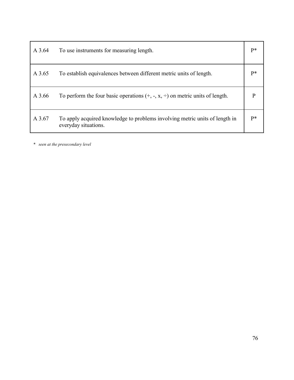| A 3.64 | To use instruments for measuring length.                                                            | P*   |
|--------|-----------------------------------------------------------------------------------------------------|------|
| A 3.65 | To establish equivalences between different metric units of length.                                 | p*   |
| A 3.66 | To perform the four basic operations $(+, -, x, \div)$ on metric units of length.                   | P    |
| A 3.67 | To apply acquired knowledge to problems involving metric units of length in<br>everyday situations. | $P*$ |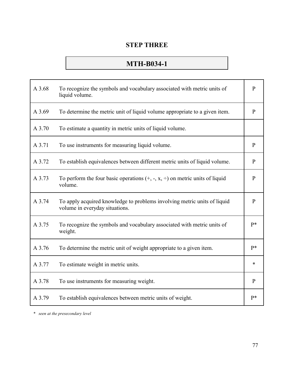## **MTH-B034-1**

| A 3.68 | To recognize the symbols and vocabulary associated with metric units of<br>liquid volume.                  | $\mathbf{P}$ |
|--------|------------------------------------------------------------------------------------------------------------|--------------|
| A 3.69 | To determine the metric unit of liquid volume appropriate to a given item.                                 | $\mathbf{P}$ |
| A 3.70 | To estimate a quantity in metric units of liquid volume.                                                   |              |
| A 3.71 | To use instruments for measuring liquid volume.                                                            | $\mathbf{P}$ |
| A 3.72 | To establish equivalences between different metric units of liquid volume.                                 | $\mathbf{P}$ |
| A 3.73 | To perform the four basic operations $(+, -, x, \div)$ on metric units of liquid<br>volume.                | $\mathbf{P}$ |
| A 3.74 | To apply acquired knowledge to problems involving metric units of liquid<br>volume in everyday situations. | $\mathbf{P}$ |
| A 3.75 | To recognize the symbols and vocabulary associated with metric units of<br>weight.                         | p*           |
| A 3.76 | To determine the metric unit of weight appropriate to a given item.                                        | p*           |
| A 3.77 | To estimate weight in metric units.                                                                        | *            |
| A 3.78 | To use instruments for measuring weight.                                                                   | $\mathbf{P}$ |
| A 3.79 | To establish equivalences between metric units of weight.                                                  | $P*$         |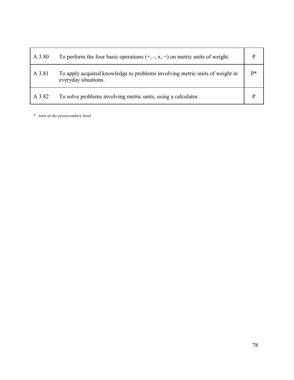| A 3.80 | To perform the four basic operations $(+, -, x, \div)$ on metric units of weight.                   |      |
|--------|-----------------------------------------------------------------------------------------------------|------|
| A 3.81 | To apply acquired knowledge to problems involving metric units of weight in<br>everyday situations. | $p*$ |
| A 3.82 | To solve problems involving metric units, using a calculator.                                       |      |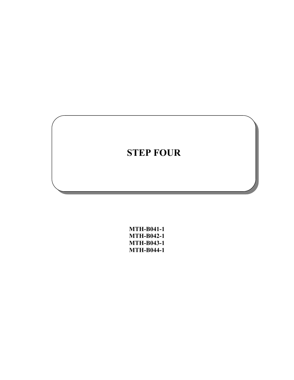| <b>MTH-B041-1</b> |
|-------------------|
| MTH-B042-1        |
| MTH-B043-1        |
| MTH-B044-1        |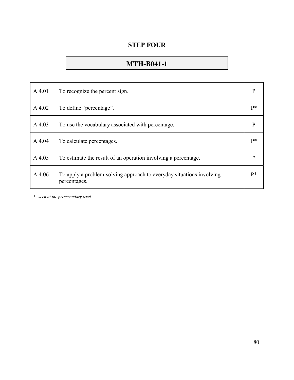## **MTH-B041-1**

| $A$ 4.01  | To recognize the percent sign.                                                       | $\mathbf{P}$ |
|-----------|--------------------------------------------------------------------------------------|--------------|
| A 4.02    | To define "percentage".                                                              | $P*$         |
| A 4.03    | To use the vocabulary associated with percentage.                                    | P            |
| A 4.04    | To calculate percentages.                                                            | $P*$         |
| A 4.05    | To estimate the result of an operation involving a percentage.                       | $\ast$       |
| $A\,4.06$ | To apply a problem-solving approach to everyday situations involving<br>percentages. | $p*$         |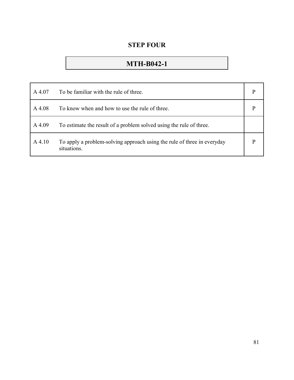## **MTH-B042-1**

| A 4.07    | To be familiar with the rule of three.                                                 | p |
|-----------|----------------------------------------------------------------------------------------|---|
| A 4.08    | To know when and how to use the rule of three.                                         |   |
| A 4.09    | To estimate the result of a problem solved using the rule of three.                    |   |
| $A\,4.10$ | To apply a problem-solving approach using the rule of three in everyday<br>situations. |   |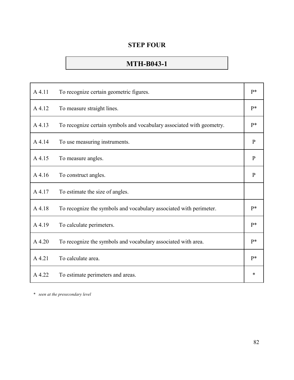## **MTH-B043-1**

| A 4.11 | To recognize certain geometric figures.                               | $P*$         |
|--------|-----------------------------------------------------------------------|--------------|
| A 4.12 | To measure straight lines.                                            | $P*$         |
| A 4.13 | To recognize certain symbols and vocabulary associated with geometry. | p*           |
| A 4.14 | To use measuring instruments.                                         | $\mathbf{P}$ |
| A 4.15 | To measure angles.                                                    | $\mathbf{P}$ |
| A 4.16 | To construct angles.                                                  | $\mathbf{P}$ |
| A 4.17 | To estimate the size of angles.                                       |              |
| A 4.18 | To recognize the symbols and vocabulary associated with perimeter.    | $P*$         |
| A 4.19 | To calculate perimeters.                                              | $P*$         |
| A 4.20 | To recognize the symbols and vocabulary associated with area.         | p*           |
| A 4.21 | To calculate area.                                                    | $P*$         |
| A 4.22 | To estimate perimeters and areas.                                     | $\ast$       |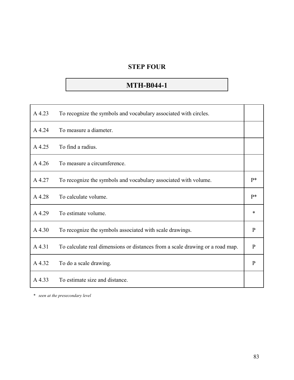## **MTH-B044-1**

| A 4.23 | To recognize the symbols and vocabulary associated with circles.              |              |
|--------|-------------------------------------------------------------------------------|--------------|
| A 4.24 | To measure a diameter.                                                        |              |
| A 4.25 | To find a radius.                                                             |              |
| A 4.26 | To measure a circumference.                                                   |              |
| A4.27  | To recognize the symbols and vocabulary associated with volume.               | $P*$         |
| A 4.28 | To calculate volume.                                                          | $P*$         |
| A 4.29 | To estimate volume.                                                           | *            |
| A 4.30 | To recognize the symbols associated with scale drawings.                      | $\mathbf{P}$ |
| A 4.31 | To calculate real dimensions or distances from a scale drawing or a road map. | $\mathbf{P}$ |
| A 4.32 | To do a scale drawing.                                                        | $\mathbf{P}$ |
| A 4.33 | To estimate size and distance.                                                |              |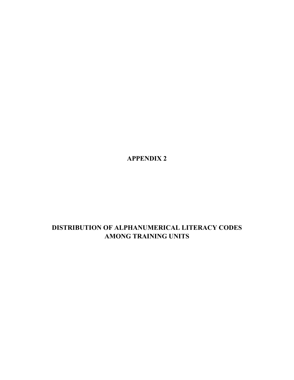**APPENDIX 2**

## **DISTRIBUTION OF ALPHANUMERICAL LITERACY CODES AMONG TRAINING UNITS**